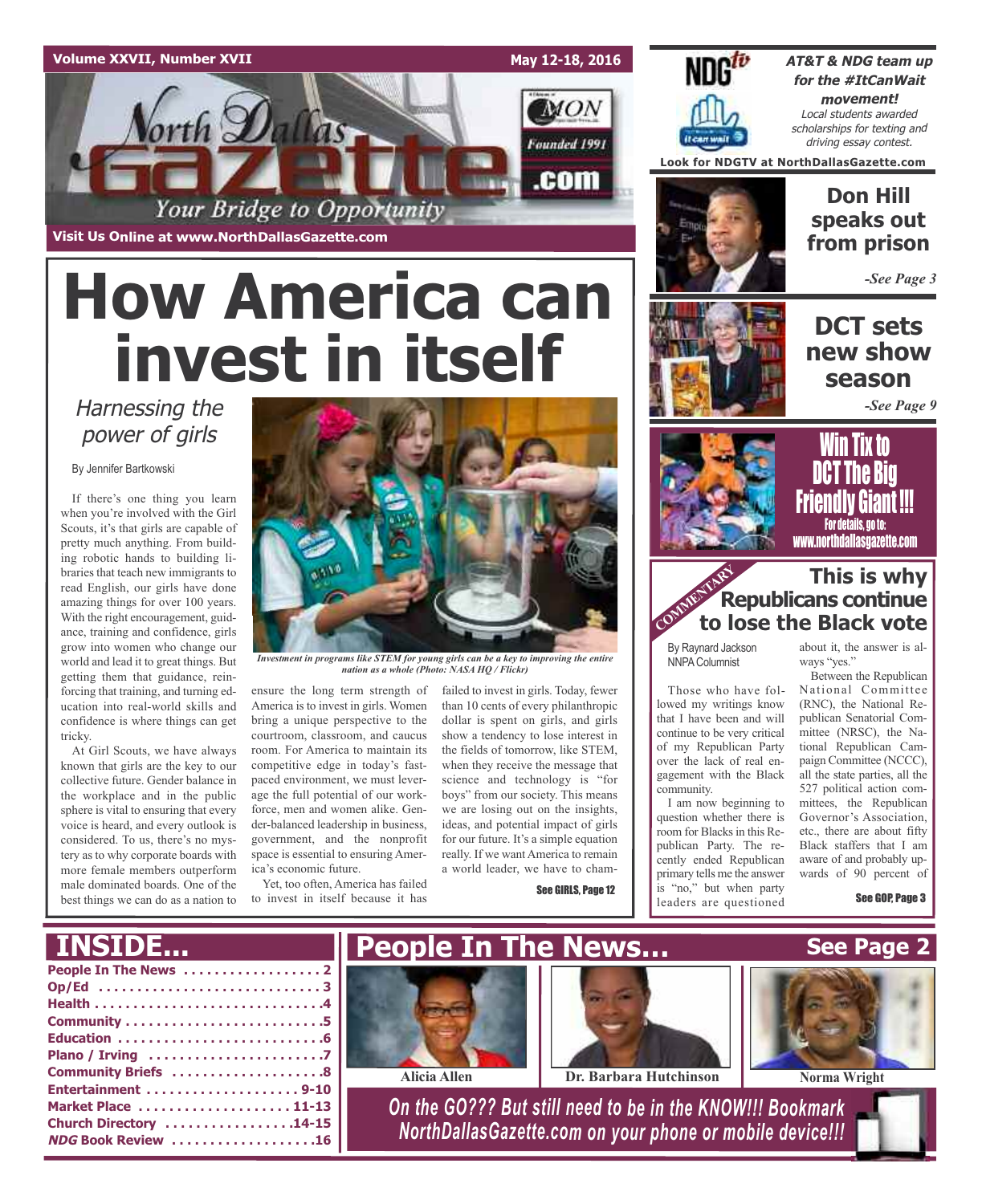### **Volume XXVII, Number XVII**

**May 12-18, 2016**



**How America can invest in itself**

### Harnessing the power of girls

### By Jennifer Bartkowski

If there's one thing you learn when you're involved with the Girl Scouts, it's that girls are capable of pretty much anything. From building robotic hands to building libraries that teach new immigrants to read English, our girls have done amazing things for over 100 years. With the right encouragement, guidance, training and confidence, girls grow into women who change our world and lead it to great things. But getting them that guidance, reinforcing that training, and turning education into real-world skills and confidence is where things can get tricky.

At Girl Scouts, we have always known that girls are the key to our collective future. Gender balance in the workplace and in the public sphere is vital to ensuring that every voice is heard, and every outlook is considered. To us, there's no mystery as to why corporate boards with more female members outperform male dominated boards. One of the best things we can do as a nation to



*Investment in programs like STEM for young girls can be a key to improving the entire nation as a whole (Photo: NASA HQ / Flickr)*

ensure the long term strength of America is to invest in girls. Women bring a unique perspective to the courtroom, classroom, and caucus room. For America to maintain its competitive edge in today's fastpaced environment, we must leverage the full potential of our workforce, men and women alike. Gender-balanced leadership in business, government, and the nonprofit space is essential to ensuring America's economic future.

Yet, too often, America has failed to invest in itself because it has

failed to invest in girls. Today, fewer than 10 cents of every philanthropic dollar is spent on girls, and girls show a tendency to lose interest in the fields of tomorrow, like STEM, when they receive the message that science and technology is "for boys" from our society. This means we are losing out on the insights, ideas, and potential impact of girls for our future. It's a simple equation really. If we want America to remain a world leader, we have to cham-

See GIRLS, Page 12



**AT&T & NDG team up for the #ItCanWait movement!** Local students awarded scholarships for texting and driving essay contest.

**Look for NDGTV at NorthDallasGazette.com**



### **Don Hill speaks out from prison**

*-See Page 3*

### **DCT sets new show season** *-See Page 9*



Win Tix to DCT The Big Friendly Giant !!! For details, go to: www.northdallasgazette.com

### **This is why Republicans continue to lose** the **Black** vote

By Raynard Jackson NNPAColumnist

Those who have followed my writings know that I have been and will continue to be very critical of my Republican Party over the lack of real engagement with the Black community.

I am now beginning to question whether there is room for Blacks in this Republican Party. The recently ended Republican primary tells me the answer is "no," but when party leaders are questioned

about it, the answer is always "yes."

Between the Republican National Committee (RNC), the National Republican Senatorial Committee (NRSC), the National Republican Campaign Committee (NCCC), all the state parties, all the 527 political action committees, the Republican Governor's Association, etc., there are about fifty Black staffers that I am aware of and probably upwards of 90 percent of

See GOP, Page 3

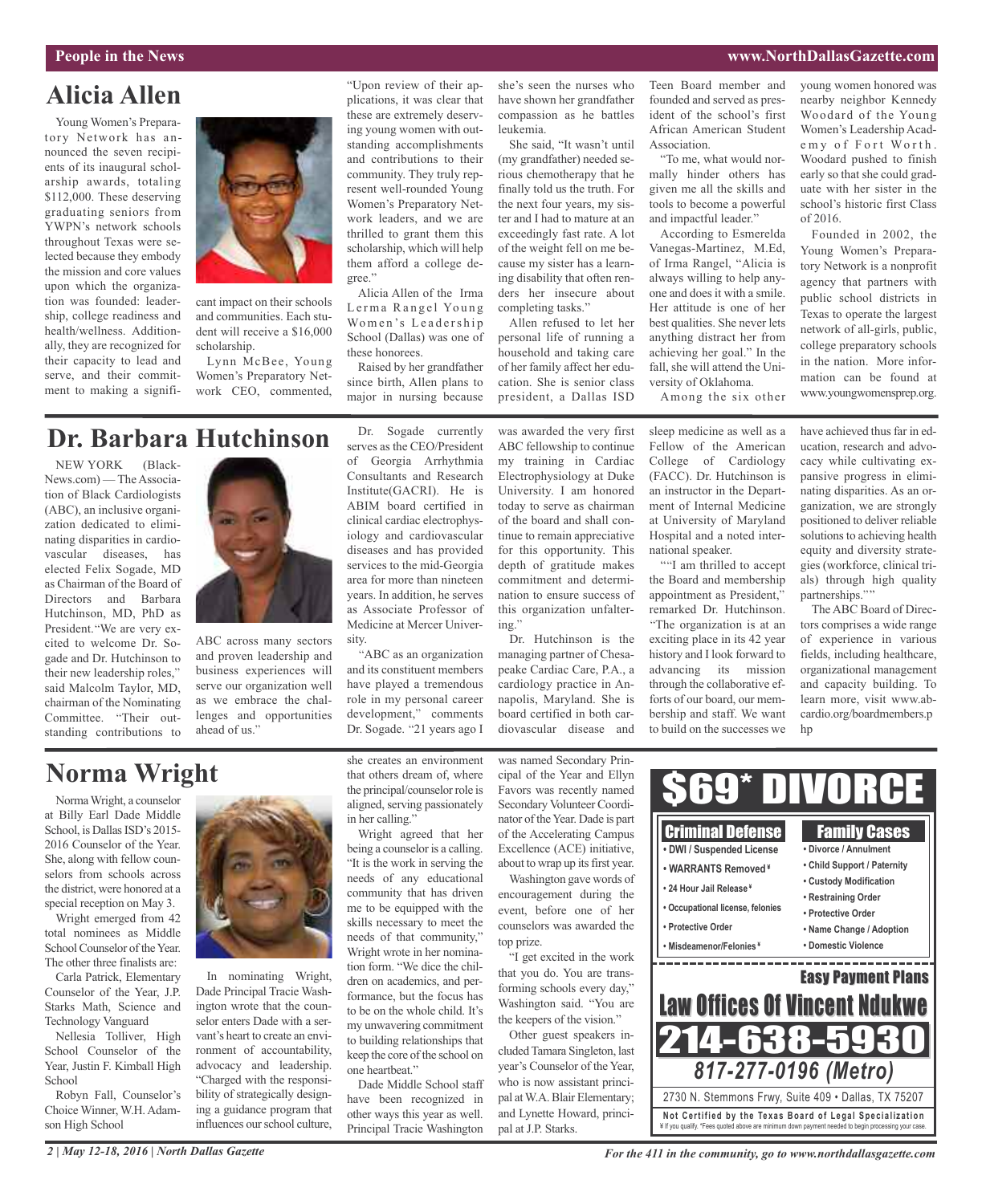### **People in the News www.NorthDallasGazette.com**

## **Alicia Allen**

Young Women's Preparatory Network has announced the seven recipients of its inaugural scholarship awards, totaling \$112,000. These deserving graduating seniors from YWPN's network schools throughout Texas were selected because they embody the mission and core values upon which the organization was founded: leadership, college readiness and health/wellness. Additionally, they are recognized for their capacity to lead and serve, and their commitment to making a signifi-



cant impact on their schools and communities. Each student will receive a \$16,000 scholarship.

Lynn McBee, Young Women's Preparatory Network CEO, commented, "Upon review of their applications, it was clear that these are extremely deserving young women with outstanding accomplishments and contributions to their community. They truly represent well-rounded Young Women's Preparatory Network leaders, and we are thrilled to grant them this scholarship, which will help them afford a college degree."

Alicia Allen of the Irma Lerma Rangel Young Women's Leadership School (Dallas) was one of these honorees.

Raised by her grandfather since birth, Allen plans to major in nursing because

she's seen the nurses who have shown her grandfather compassion as he battles leukemia.

She said, "It wasn't until (my grandfather) needed serious chemotherapy that he finally told us the truth. For the next four years, my sister and I had to mature at an exceedingly fast rate. A lot of the weight fell on me because my sister has a learning disability that often renders her insecure about completing tasks."

Allen refused to let her personal life of running a household and taking care of her family affect her education. She is senior class president, a Dallas ISD

Teen Board member and founded and served as president of the school's first African American Student Association.

"To me, what would normally hinder others has given me all the skills and tools to become a powerful and impactful leader."

According to Esmerelda Vanegas-Martinez, M.Ed, of Irma Rangel, "Alicia is always willing to help anyone and does it with a smile. Her attitude is one of her best qualities. She never lets anything distract her from achieving her goal." In the fall, she will attend the University of Oklahoma.

Among the six other

young women honored was nearby neighbor Kennedy Woodard of the Young Women's Leadership Academy of Fort Worth. Woodard pushed to finish early so that she could graduate with her sister in the school's historic first Class of 2016.

Founded in 2002, the Young Women's Preparatory Network is a nonprofit agency that partners with public school districts in Texas to operate the largest network of all-girls, public, college preparatory schools in the nation. More information can be found at www.youngwomensprep.org.

## **Dr. Barbara Hutchinson**

NEW YORK (Black-News.com) — The Association of Black Cardiologists (ABC), an inclusive organization dedicated to eliminating disparities in cardiovascular diseases, has elected Felix Sogade, MD as Chairman of the Board of Directors and Barbara Hutchinson, MD, PhD as President. "We are very excited to welcome Dr. Sogade and Dr. Hutchinson to their new leadership roles, said Malcolm Taylor, MD, chairman of the Nominating Committee. "Their outstanding contributions to



ABC across many sectors and proven leadership and business experiences will serve our organization well as we embrace the challenges and opportunities ahead of us.

Dr. Sogade currently serves as the CEO/President of Georgia Arrhythmia Consultants and Research Institute(GACRI). He is ABIM board certified in clinical cardiac electrophysiology and cardiovascular diseases and has provided services to the mid-Georgia area for more than nineteen years. In addition, he serves as Associate Professor of Medicine at Mercer University.

ABC as an organization and its constituent members have played a tremendous role in my personal career development," comments Dr. Sogade. "21 years ago I was awarded the very first ABC fellowship to continue my training in Cardiac Electrophysiology at Duke University. I am honored today to serve as chairman of the board and shall continue to remain appreciative for this opportunity. This depth of gratitude makes commitment and determination to ensure success of this organization unfaltering.

Dr. Hutchinson is the managing partner of Chesapeake Cardiac Care, P.A., a cardiology practice in Annapolis, Maryland. She is board certified in both cardiovascular disease and

#### sleep medicine as well as a Fellow of the American College of Cardiology (FACC). Dr. Hutchinson is an instructor in the Department of Internal Medicine at University of Maryland Hospital and a noted international speaker.

"I am thrilled to accept the Board and membership appointment as President, remarked Dr. Hutchinson. "The organization is at an exciting place in its 42 year history and I look forward to advancing its mission through the collaborative efforts of our board, our membership and staff. We want to build on the successes we have achieved thus far in education, research and advocacy while cultivating expansive progress in eliminating disparities. As an organization, we are strongly positioned to deliver reliable solutions to achieving health equity and diversity strategies (workforce, clinical trials) through high quality partnerships."

The ABC Board of Directors comprises a wide range of experience in various fields, including healthcare, organizational management and capacity building. To learn more, visit www.abcardio.org/boardmembers.p hp

## **Norma Wright**

NormaWright, a counselor at Billy Earl Dade Middle School, is Dallas ISD's 2015-2016 Counselor of the Year. She, along with fellow counselors from schools across the district, were honored at a special reception on May 3.

Wright emerged from 42 total nominees as Middle School Counselor of the Year. The other three finalists are:

Carla Patrick, Elementary Counselor of the Year, J.P. Starks Math, Science and Technology Vanguard

Nellesia Tolliver, High School Counselor of the Year, Justin F. Kimball High **School** 

Robyn Fall, Counselor's Choice Winner, W.H.Adamson High School



In nominating Wright, Dade Principal Tracie Washington wrote that the counselor enters Dade with a servant's heart to create an environment of accountability, advocacy and leadership. "Charged with the responsibility of strategically designing a guidance program that influences our school culture, she creates an environment that others dream of, where the principal/counselor role is aligned, serving passionately in her calling."

Wright agreed that her being a counselor is a calling. "It is the work in serving the needs of any educational community that has driven me to be equipped with the skills necessary to meet the needs of that community," Wright wrote in her nomination form. "We dice the children on academics, and performance, but the focus has to be on the whole child. It's my unwavering commitment to building relationships that keep the core of the school on one heartbeat."

Dade Middle School staff have been recognized in other ways this year as well. Principal Tracie Washington

was named Secondary Principal of the Year and Ellyn Favors was recently named Secondary Volunteer Coordinator of the Year. Dade is part of the Accelerating Campus Excellence (ACE) initiative, about to wrap up its first year.

Washington gave words of encouragement during the event, before one of her counselors was awarded the top prize.

"I get excited in the work that you do. You are transforming schools every day," Washington said. "You are the keepers of the vision."

Other guest speakers includedTamara Singleton, last year's Counselor of the Year, who is now assistant principal atW.A.Blair Elementary; and Lynette Howard, principal at J.P. Starks.



*For the 411 in the community, go to www.northdallasgazette.com*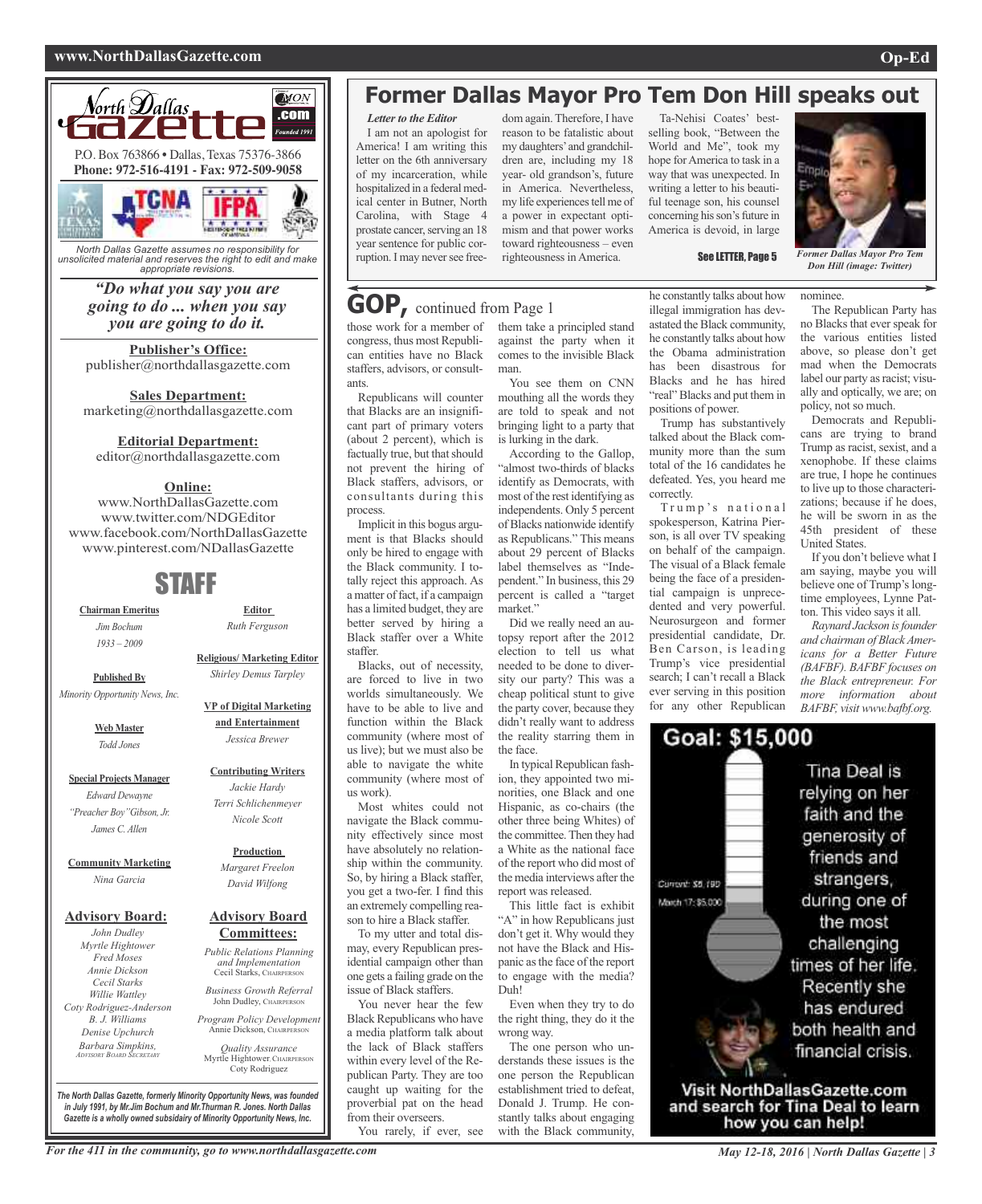### **www.NorthDallasGazette.com Op-Ed**



*North Dallas Gazette assumes no responsibility for unsolicited material and reserves the right to edit and make appropriate revisions.*

### *"Do what you say you are going to do ... when you say you are going to do it.*

**Publisher's Office:** publisher@northdallasgazette.com

**Sales Department:** marketing@northdallasgazette.com

### **Editorial Department:**

editor@northdallasgazette.com

### **Online:**

www.NorthDallasGazette.com www.twitter.com/NDGEditor www.facebook.com/NorthDallasGazette www.pinterest.com/NDallasGazette

### STAFF

**Chairman Emeritus** *Jim Bochum 1933 – 2009*

**Published By**

*Minority Opportunity News, Inc.*

**Web Master** *Todd Jones*

**Special Projects Manager** *Edward Dewayne "Preacher Boy"Gibson, Jr. James C. Allen*

**Community Marketing** *Nina Garcia*

#### **Advisory Board:**

*John Dudley Myrtle Hightower Fred Moses Annie Dickson Cecil Starks Willie Wattley Coty Rodriguez-Anderson B. J. Williams Denise Upchurch Barbara Simpkins, ADVISORY BOARD SECRETARY*

#### *Quality Assurance* Myrtle Hightower, CHAIRPERS Coty Rodriguez

**Advisory Board Committees:**

*Public Relations Planning and Implementation* Cecil Starks, CHAIRPERSON *Business Growth Referral* John Dudley, CHAIRPERSO *Program Policy Development* Annie Dickson, CHAIRPE

**Production** *Margaret Freelon David Wilfong*

**Editor** *Ruth Ferguson*

**Religious/ Marketing Editor** *Shirley Demus Tarpley*

**VP of Digital Marketing and Entertainment** *Jessica Brewer*

**Contributing Writers** *Jackie Hardy Terri Schlichenmeyer Nicole Scott*

*The North Dallas Gazette, formerly Minority Opportunity News, was founded in July 1991, by Mr.Jim Bochum and Mr.Thurman R. Jones. North Dallas Gazette is a wholly owned subsidairy of Minority Opportunity News, Inc.*

### **Former Dallas Mayor Pro Tem Don Hill speaks out**

*Letter to the Editor*

I am not an apologist for America! I am writing this letter on the 6th anniversary of my incarceration, while hospitalized in a federal medical center in Butner, North Carolina, with Stage 4 prostate cancer, serving an 18 year sentence for public corruption. I may never see free-

congress, thus most Republican entities have no Black staffers, advisors, or consult-

Republicans will counter that Blacks are an insignificant part of primary voters (about 2 percent), which is factually true, but that should not prevent the hiring of Black staffers, advisors, or consultants during this

Implicit in this bogus argument is that Blacks should only be hired to engage with the Black community. I totally reject this approach. As a matter of fact, if a campaign has a limited budget, they are better served by hiring a Black staffer over a White

Blacks, out of necessity, are forced to live in two worlds simultaneously. We have to be able to live and function within the Black community (where most of us live); but we must also be able to navigate the white community (where most of

Most whites could not navigate the Black community effectively since most have absolutely no relationship within the community. So, by hiring a Black staffer, you get a two-fer. I find this an extremely compelling reason to hire a Black staffer. To my utter and total dismay, every Republican presidential campaign other than one gets a failing grade on the issue of Black staffers. You never hear the few Black Republicans who have a media platform talk about the lack of Black staffers within every level of the Republican Party. They are too caught up waiting for the proverbial pat on the head from their overseers.

You rarely, if ever, see

ants.

process.

staffer.

us work).

those work for a member of them take a principled stand

man.

market."

dom again. Therefore, I have reason to be fatalistic about my daughters'and grandchildren are, including my 18 year- old grandson's, future in America. Nevertheless, my life experiences tell me of a power in expectant optimism and that power works toward righteousness – even righteousness in America.

against the party when it comes to the invisible Black

You see them on CNN mouthing all the words they are told to speak and not bringing light to a party that is lurking in the dark.

According to the Gallop, "almost two-thirds of blacks identify as Democrats, with most of the rest identifying as independents. Only 5 percent ofBlacks nationwide identify as Republicans." This means about 29 percent of Blacks label themselves as "Independent." In business, this 29 percent is called a "target

Did we really need an autopsy report after the 2012 election to tell us what needed to be done to diversity our party? This was a

Ta-Nehisi Coates' bestselling book, "Between the World and Me", took my hope for America to task in a way that was unexpected. In writing a letter to his beautiful teenage son, his counsel concerning his son's future in America is devoid, in large

illegal immigration has devastated the Black community, he constantly talks about how the Obama administration has been disastrous for Blacks and he has hired "real" Blacks and put them in positions of power.

Trump has substantively total of the 16 candidates he defeated. Yes, you heard me

Trump's national

nominee. The Republican Party has no Blacks that ever speak for the various entities listed above, so please don't get mad when the Democrats label our party as racist; visually and optically, we are; on policy, not so much.

Democrats and Republicans are trying to brand Trump as racist, sexist, and a xenophobe. If these claims are true, I hope he continues to live up to those characterizations; because if he does, he will be sworn in as the 45th president of these United States.

If you don't believe what I am saying, maybe you will believe one of Trump's longtime employees, Lynne Patton. This video says it all.

*Raynard Jackson isfounder and chairman of BlackAmericans for a Better Future (BAFBF). BAFBF focuses on the Black entrepreneur. For more information about BAFBF, visit www.bafbf.org.*

cheap political stunt to give for any other Republican the party cover, because they didn't really want to address the reality starring them in the face. In typical Republican fashion, they appointed two minorities, one Black and one Hispanic, as co-chairs (the other three being Whites) of the committee.Then they had a White as the national face of the report who did most of the media interviews after the Current: \$5,190 report was released.

This little fact is exhibit "A" in how Republicans just don't get it. Why would they not have the Black and Hispanic asthe face of the report to engage with the media? Duh!

Even when they try to do the right thing, they do it the wrong way.

The one person who understands these issues is the one person the Republican establishment tried to defeat, Donald J. Trump. He constantly talks about engaging with the Black community,

Goal: \$15,000 **Tina Deal is** relving on her faith and the generosity of friends and strangers, during one of March 17:\$5,000 the most challenging times of her life. Recently she has endured both health and financial crisis.

**Visit NorthDallasGazette.com** and search for Tina Deal to learn how you can help!

See LETTER, Page 5 *Former Dallas Mayor Pro Tem Don Hill (image: Twitter)*

For the 411 in the community, go to www.northdallasgazette.com May 12-18, 2016 | North Dallas Gazette | 3

**GOP,** continued from Page <sup>1</sup>

he constantly talks about how

talked about the Black community more than the sum correctly.

spokesperson, Katrina Pierson, is all over TV speaking on behalf of the campaign. The visual of a Black female being the face of a presidential campaign is unprecedented and very powerful. Neurosurgeon and former presidential candidate, Dr. Ben Carson, is leading Trump's vice presidential search; I can't recall a Black ever serving in this position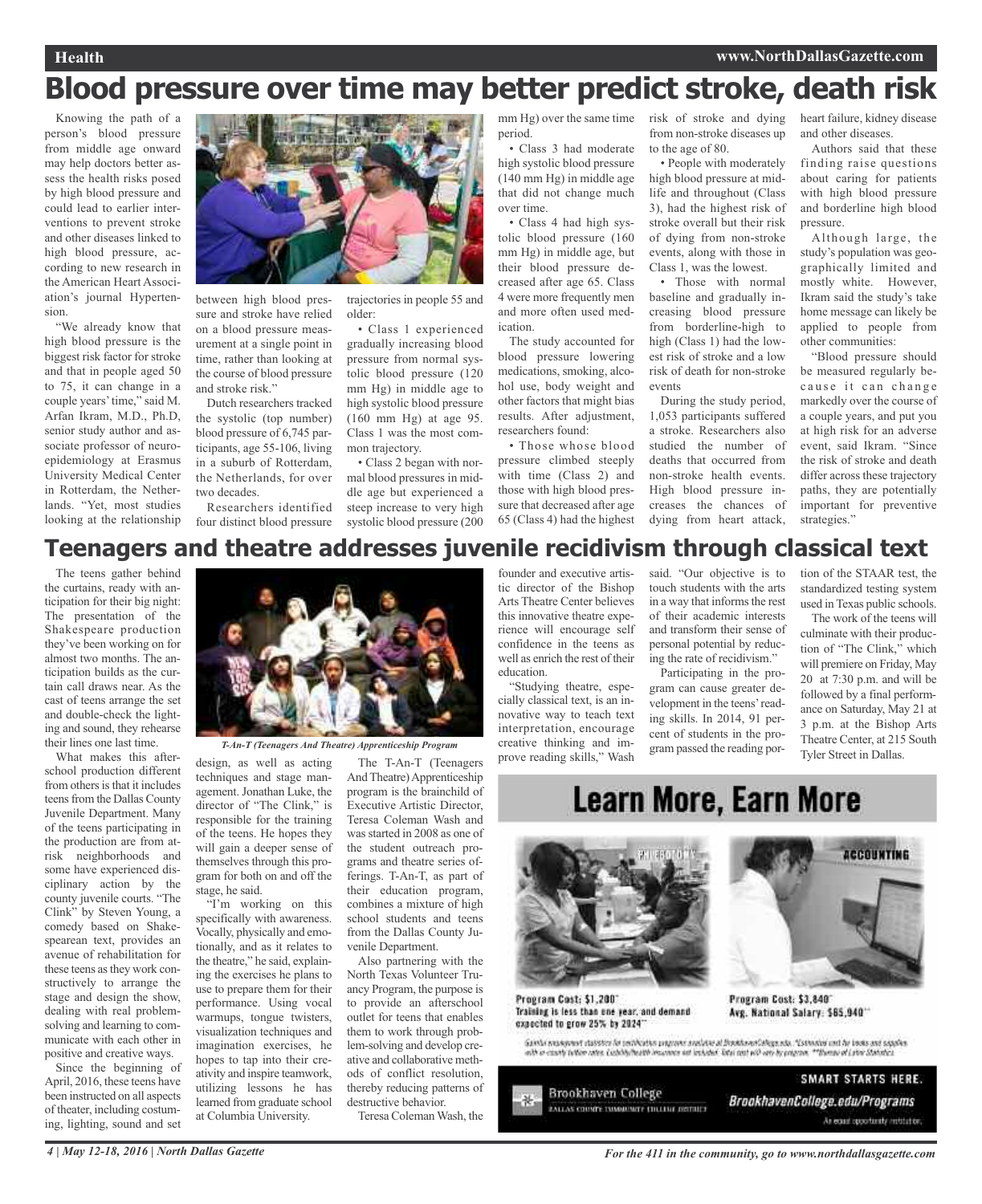## **Blood pressure over time may better predict stroke, death risk**

Knowing the path of a person's blood pressure from middle age onward may help doctors better assess the health risks posed by high blood pressure and could lead to earlier interventions to prevent stroke and other diseases linked to high blood pressure, according to new research in the American Heart Association's journal Hypertension.

"We already know that high blood pressure is the biggest risk factor for stroke and that in people aged 50 to 75, it can change in a couple years'time," said M. Arfan Ikram, M.D., Ph.D, senior study author and associate professor of neuroepidemiology at Erasmus University Medical Center in Rotterdam, the Netherlands. "Yet, most studies looking at the relationship



older:

mon trajectory.

• Class 1 experienced gradually increasing blood pressure from normal systolic blood pressure (120 mm Hg) in middle age to high systolic blood pressure (160 mm Hg) at age 95. Class 1 was the most com-

• Class 2 began with normal blood pressures in middle age but experienced a steep increase to very high systolic blood pressure (200

between high blood pressure and stroke have relied on a blood pressure measurement at a single point in time, rather than looking at the course of blood pressure and stroke risk."

Dutch researchers tracked the systolic (top number) blood pressure of 6,745 participants, age 55-106, living in a suburb of Rotterdam, the Netherlands, for over two decades.

Researchers identified four distinct blood pressure period.

• Class 3 had moderate high systolic blood pressure (140 mm Hg) in middle age that did not change much over time.

• Class 4 had high systolic blood pressure (160 mm Hg) in middle age, but their blood pressure decreased after age 65. Class 4 were more frequently men and more often used medication.

The study accounted for blood pressure lowering medications, smoking, alcohol use, body weight and other factors that might bias results. After adjustment, researchers found:

• Those whose blood pressure climbed steeply with time (Class 2) and those with high blood pressure that decreased after age 65 (Class 4) had the highest

mm Hg) over the same time risk of stroke and dying from non-stroke diseases up to the age of 80.

• People with moderately high blood pressure at midlife and throughout (Class 3), had the highest risk of stroke overall but their risk of dying from non-stroke events, along with those in Class 1, was the lowest.

• Those with normal baseline and gradually increasing blood pressure from borderline-high to high (Class 1) had the lowest risk of stroke and a low risk of death for non-stroke events

During the study period, 1,053 participants suffered a stroke. Researchers also studied the number of deaths that occurred from non-stroke health events. High blood pressure increases the chances of dying from heart attack,

heart failure, kidney disease and other diseases.

Authors said that these finding raise questions about caring for patients with high blood pressure and borderline high blood pressure.

Although large, the study's population was geographically limited and mostly white. However, Ikram said the study's take home message can likely be applied to people from other communities:

"Blood pressure should be measured regularly because it can change markedly over the course of a couple years, and put you at high risk for an adverse event, said Ikram. "Since the risk of stroke and death differ across these trajectory paths, they are potentially important for preventive strategies."

### **Teenagers and theatre addresses juvenile recidivism through classical text**

The teens gather behind the curtains, ready with anticipation for their big night: The presentation of the Shakespeare production they've been working on for almost two months. The anticipation builds as the curtain call draws near. As the cast of teens arrange the set and double-check the lighting and sound, they rehearse their lines one last time.

What makes this afterschool production different from others is that it includes teens from the Dallas County Juvenile Department. Many of the teens participating in the production are from atrisk neighborhoods and some have experienced disciplinary action by the county juvenile courts. "The Clink" by Steven Young, a comedy based on Shakespearean text, provides an avenue of rehabilitation for these teens asthey work constructively to arrange the stage and design the show, dealing with real problemsolving and learning to communicate with each other in positive and creative ways.

Since the beginning of April, 2016, these teens have been instructed on all aspects of theater, including costuming, lighting, sound and set



*T-An-T (Teenagers And Theatre) Apprenticeship Program*

design, as well as acting techniques and stage management.Jonathan Luke, the director of "The Clink," is responsible for the training of the teens. He hopes they will gain a deeper sense of themselves through this program for both on and off the stage, he said.

"I'm working on this specifically with awareness. Vocally, physically and emotionally, and as it relates to the theatre," he said, explaining the exercises he plans to use to prepare them for their performance. Using vocal warmups, tongue twisters, visualization techniques and imagination exercises, he hopes to tap into their creativity and inspire teamwork, utilizing lessons he has learned from graduate school at Columbia University.

The T-An-T (Teenagers And Theatre) Apprenticeship program is the brainchild of Executive Artistic Director, Teresa Coleman Wash and was started in 2008 as one of the student outreach programs and theatre series offerings. T-An-T, as part of their education program, combines a mixture of high school students and teens from the Dallas County Juvenile Department.

Also partnering with the North Texas Volunteer Truancy Program, the purpose is to provide an afterschool outlet for teens that enables them to work through problem-solving and develop creative and collaborative methods of conflict resolution, thereby reducing patterns of destructive behavior.

Teresa Coleman Wash, the

founder and executive artistic director of the Bishop Arts Theatre Center believes this innovative theatre experience will encourage self confidence in the teens as well as enrich the rest of their education.

"Studying theatre, especially classical text, is an innovative way to teach text interpretation, encourage creative thinking and improve reading skills," Wash said. "Our objective is to touch students with the arts in a way that informs the rest of their academic interests and transform their sense of personal potential by reducing the rate of recidivism."

Participating in the program can cause greater development in the teens'reading skills. In 2014, 91 percent of students in the program passed the reading portion of the STAAR test, the standardized testing system used in Texas public schools.

The work of the teens will culminate with their production of "The Clink," which will premiere on Friday, May 20 at 7:30 p.m. and will be followed by a final performance on Saturday, May 21 at 3 p.m. at the Bishop Arts Theatre Center, at 215 South Tyler Street in Dallas.

**ACCOUNTING** 

## **Learn More, Earn More**



Program Cost: \$1,200\* Training is less than one year, and demand expected to grow 25% by 2024"

Sainta waxaynad dakkira la sedihatko pagrané aralata al Bankka-wilalege eta. "Estreniai uni fa bene erd segoke<br>altra-conte intiar rates Eudobjöhetti imurnon un induksi. Dan ont vili are be pagran. ""Bumu al pine Statates



Program Cost: \$3,840\*

Avg. National Salary: \$65,940\*\*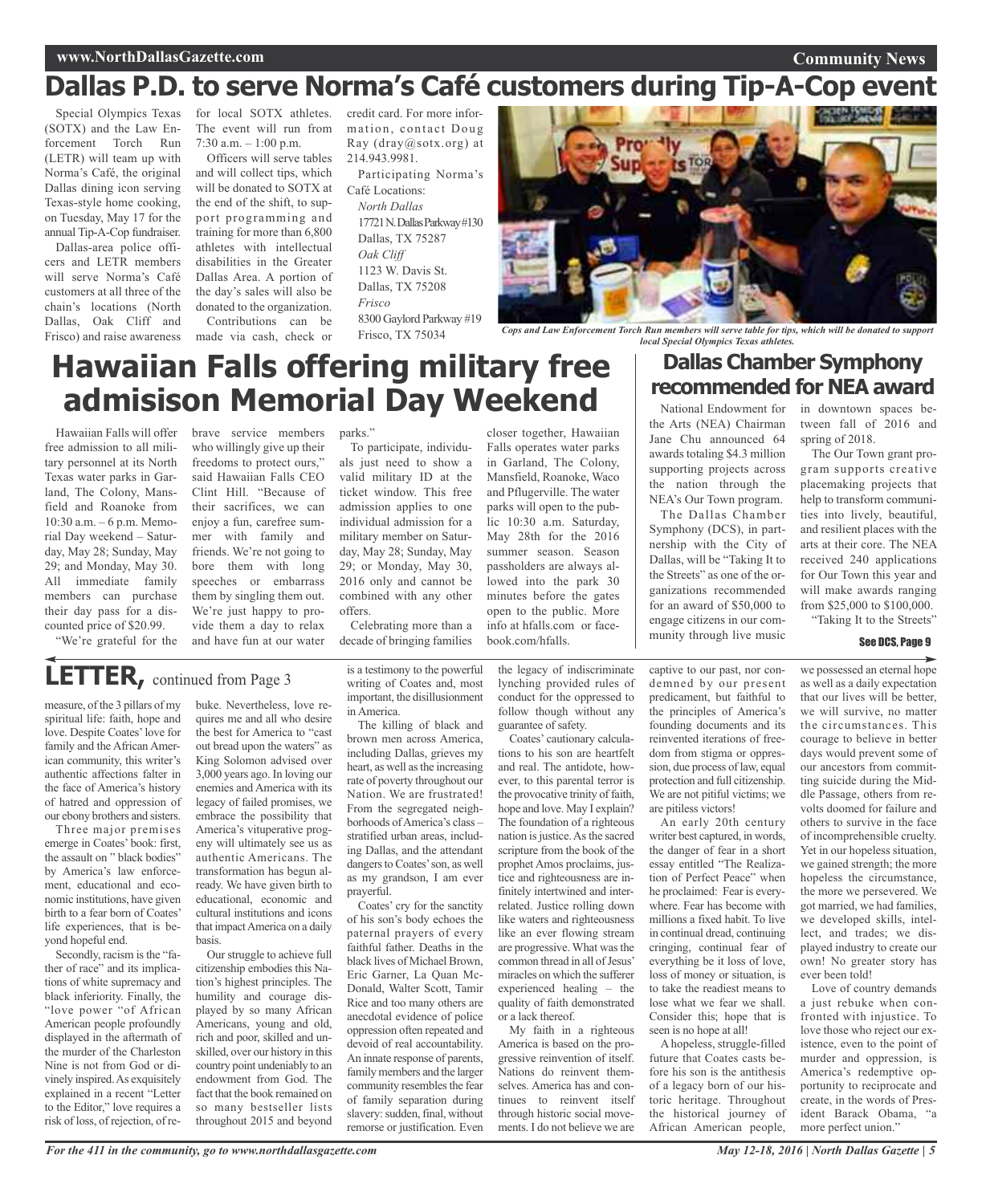### **www.NorthDallasGazette.com**

### **Community News**

## **Dallas P.D. to serve Norma's Café customers during Tip-A-Cop event**

Special Olympics Texas (SOTX) and the Law Enforcement Torch Run (LETR) will team up with Norma's Café, the original Dallas dining icon serving Texas-style home cooking, on Tuesday, May 17 for the annual Tip-A-Cop fundraiser.

Dallas-area police officers and LETR members will serve Norma's Café customers at all three of the chain's locations (North Dallas, Oak Cliff and Frisco) and raise awareness for local SOTX athletes. The event will run from 7:30 a.m. – 1:00 p.m.

Officers will serve tables and will collect tips, which will be donated to SOTX at the end of the shift, to support programming and training for more than 6,800 athletes with intellectual disabilities in the Greater Dallas Area. A portion of the day's sales will also be donated to the organization. Contributions can be

made via cash, check or

credit card. For more information, contact Doug Ray (dray@sotx.org) at 214.943.9981.

Participating Norma's Café Locations: *North Dallas* 17721 N. Dallas Parkway #130 Dallas, TX 75287 *Oak Cliff* 1123 W. Davis St. Dallas, TX 75208 *Frisco* 8300 Gaylord Parkway #19 Frisco, TX 75034



Cops and Law Enforcement Torch Run members will serve table for tips, which will be donated to support *local Special Olympics Texas athletes.*

## **Hawaiian Falls offering military free admisison Memorial Day Weekend**

Hawaiian Falls will offer free admission to all military personnel at its North Texas water parks in Garland, The Colony, Mansfield and Roanoke from 10:30 a.m. – 6 p.m. Memorial Day weekend – Saturday, May 28; Sunday, May 29; and Monday, May 30. All immediate family members can purchase their day pass for a discounted price of \$20.99. "We're grateful for the brave service members who willingly give up their freedoms to protect ours," said Hawaiian Falls CEO Clint Hill. "Because of their sacrifices, we can enjoy a fun, carefree summer with family and friends. We're not going to bore them with long speeches or embarrass them by singling them out. We're just happy to provide them a day to relax and have fun at our water

parks."

To participate, individuals just need to show a valid military ID at the ticket window. This free admission applies to one individual admission for a military member on Saturday, May 28; Sunday, May 29; or Monday, May 30, 2016 only and cannot be combined with any other offers.

Celebrating more than a decade of bringing families Mansfield, Roanoke, Waco and Pflugerville. The water parks will open to the public 10:30 a.m. Saturday, May 28th for the 2016 summer season. Season passholders are always allowed into the park 30 minutes before the gates open to the public. More info at hfalls.com or facebook.com/hfalls.

closer together, Hawaiian Falls operates water parks in Garland, The Colony,

> captive to our past, nor condemned by our present predicament, but faithful to the principles of America's founding documents and its reinvented iterations of free-

tions to his son are heartfelt and real. The antidote, however, to this parental terror is the provocative trinity of faith, hope and love. May I explain? The foundation of a righteous nation is justice. As the sacred scripture from the book of the prophet Amos proclaims, justice and righteousness are infinitely intertwined and interrelated. Justice rolling down like waters and righteousness like an ever flowing stream are progressive. What was the common thread in all of Jesus' miracles on which the sufferer experienced healing – the quality of faith demonstrated or a lack thereof.

America is based on the progressive reinvention of itself. Nations do reinvent themselves. America has and continues to reinvent itself through historic social movements. I do not believe we are

## **Dallas Chamber Symphony recommended for NEA award**

National Endowment for the Arts (NEA) Chairman Jane Chu announced 64 awards totaling \$4.3 million supporting projects across the nation through the NEA's Our Town program.

The Dallas Chamber Symphony (DCS), in partnership with the City of Dallas, will be "Taking It to the Streets" as one of the organizations recommended for an award of \$50,000 to engage citizens in our community through live music

dom from stigma or oppression, due process of law, equal protection and full citizenship. We are not pitiful victims; we

An early 20th century writer best captured, in words, the danger of fear in a short essay entitled "The Realization of Perfect Peace" when he proclaimed: Fear is everywhere. Fear has become with millions a fixed habit. To live in continual dread, continuing cringing, continual fear of everything be it loss of love, loss of money or situation, is to take the readiest means to lose what we fear we shall. Consider this; hope that is seen is no hope at all!

A hopeless, struggle-filled future that Coates casts before his son is the antithesis of a legacy born of our historic heritage. Throughout the historical journey of African American people,

are pitiless victors!

in downtown spaces between fall of 2016 and spring of 2018.

The Our Town grant program supports creative placemaking projects that help to transform communities into lively, beautiful, and resilient places with the arts at their core. The NEA received 240 applications for Our Town this year and will make awards ranging from \$25,000 to \$100,000. "Taking It to the Streets"

#### See DCS, Page 9

we possessed an eternal hope as well as a daily expectation that our lives will be better, we will survive, no matter the circumstances. This courage to believe in better days would prevent some of our ancestors from committing suicide during the Middle Passage, others from revolts doomed for failure and others to survive in the face of incomprehensible cruelty. Yet in our hopeless situation, we gained strength; the more hopeless the circumstance, the more we persevered. We got married, we had families, we developed skills, intellect, and trades; we displayed industry to create our own! No greater story has ever been told!

Love of country demands a just rebuke when confronted with injustice. To love those who reject our existence, even to the point of murder and oppression, is America's redemptive opportunity to reciprocate and create, in the words of President Barack Obama, "a more perfect union."

### LETTER, continued from Page 3

measure, of the 3 pillars of my spiritual life: faith, hope and love. Despite Coates'love for family and the African American community, this writer's authentic affections falter in the face of America's history of hatred and oppression of our ebony brothers and sisters.

Three major premises emerge in Coates' book: first, the assault on " black bodies" by America's law enforcement, educational and economic institutions, have given birth to a fear born of Coates' life experiences, that is beyond hopeful end.

Secondly, racism is the "father of race" and its implications of white supremacy and black inferiority. Finally, the "love power "of African American people profoundly displayed in the aftermath of the murder of the Charleston Nine is not from God or divinely inspired.As exquisitely explained in a recent "Letter to the Editor," love requires a risk of loss, of rejection, of rebuke. Nevertheless, love requires me and all who desire the best for America to "cast out bread upon the waters" as King Solomon advised over 3,000 years ago. In loving our enemies and America with its legacy of failed promises, we embrace the possibility that America's vituperative progeny will ultimately see us as authentic Americans. The transformation has begun already. We have given birth to educational, economic and cultural institutions and icons that impactAmerica on a daily basis.

Our struggle to achieve full citizenship embodies this Nation's highest principles. The humility and courage displayed by so many African Americans, young and old, rich and poor, skilled and unskilled, over our history in this country point undeniably to an endowment from God. The fact that the book remained on so many bestseller lists throughout 2015 and beyond is a testimony to the powerful writing of Coates and, most important, the disillusionment in America.

The killing of black and brown men across America, including Dallas, grieves my heart, as well as the increasing rate of poverty throughout our Nation. We are frustrated! From the segregated neighborhoods of America's classstratified urban areas, including Dallas, and the attendant dangers to Coates' son, as well as my grandson, I am ever prayerful.

Coates' cry for the sanctity of his son's body echoes the paternal prayers of every faithful father. Deaths in the black lives of Michael Brown, Eric Garner, La Quan Mc-Donald, Walter Scott, Tamir Rice and too many others are anecdotal evidence of police oppression often repeated and devoid of real accountability. An innate response of parents, family members and the larger community resembles the fear of family separation during slavery: sudden, final, without remorse or justification. Even

the legacy of indiscriminate lynching provided rules of conduct for the oppressed to follow though without any guarantee of safety. Coates' cautionary calcula-

My faith in a righteous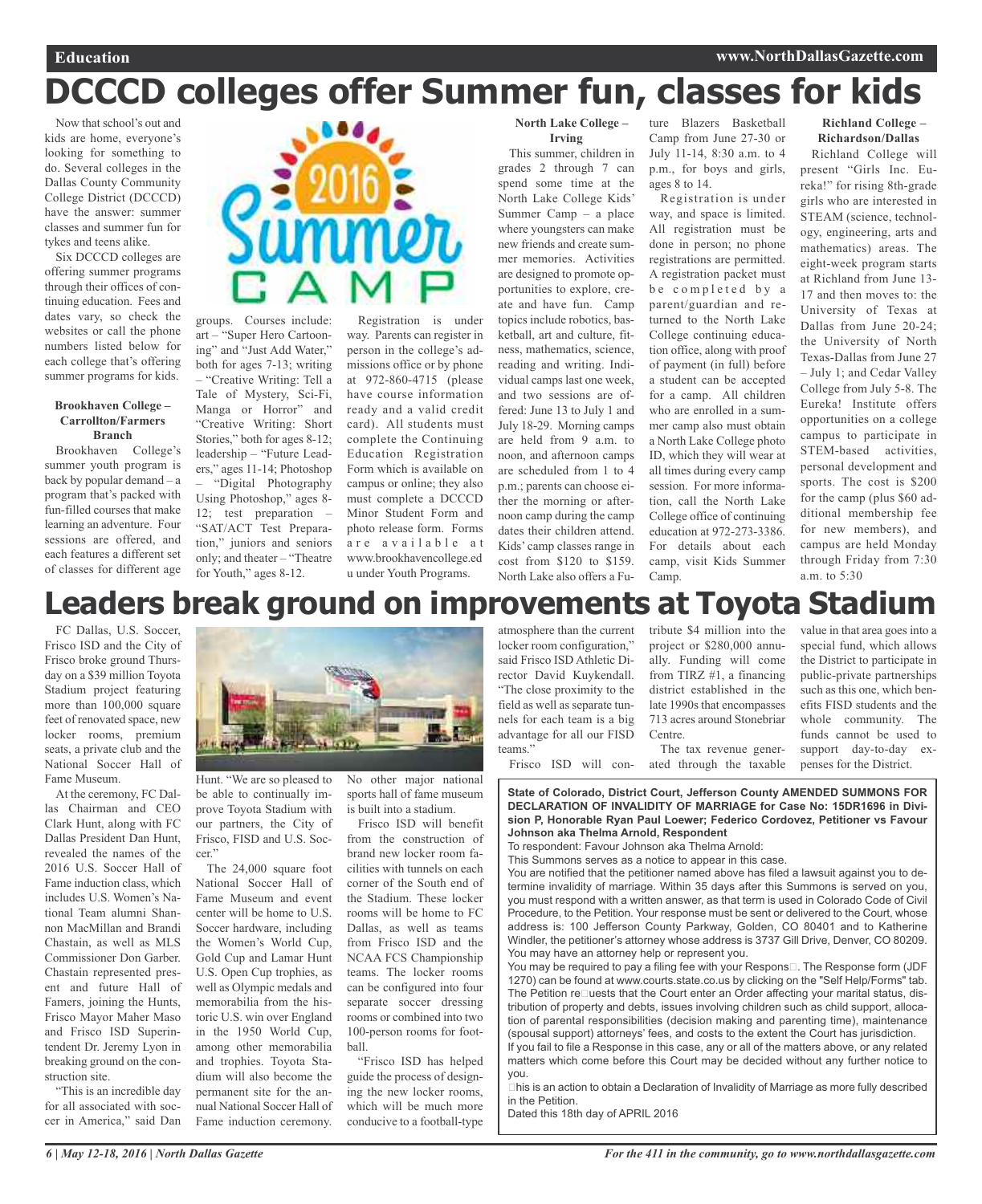## **DCCCD colleges offer Summer fun, classes for kids**

Now that school's out and kids are home, everyone's looking for something to do. Several colleges in the Dallas County Community College District (DCCCD) have the answer: summer classes and summer fun for tykes and teens alike.

Six DCCCD colleges are offering summer programs through their offices of continuing education. Fees and dates vary, so check the websites or call the phone numbers listed below for each college that's offering summer programs for kids.

#### **Brookhaven College – Carrollton/Farmers Branch**

Brookhaven College's summer youth program is back by popular demand – a program that's packed with fun-filled courses that make learning an adventure. Four sessions are offered, and each features a different set of classes for different age



groups. Courses include: art – "Super Hero Cartooning" and "Just Add Water," both for ages 7-13; writing – "Creative Writing: Tell a Tale of Mystery, Sci-Fi, Manga or Horror" and "Creative Writing: Short Stories," both for ages 8-12; leadership – "Future Leaders," ages 11-14; Photoshop – "Digital Photography Using Photoshop," ages 8- 12; test preparation – "SAT/ACT Test Preparation," juniors and seniors only; and theater – "Theatre for Youth," ages 8-12.

Registration is under way. Parents can register in person in the college's admissions office or by phone at 972-860-4715 (please have course information ready and a valid credit card). All students must complete the Continuing Education Registration Form which is available on campus or online; they also must complete a DCCCD Minor Student Form and photo release form. Forms are available at www.brookhavencollege.ed u under Youth Programs.

#### **North Lake College – Irving**

This summer, children in grades 2 through 7 can spend some time at the North Lake College Kids' Summer Camp – a place where youngsters can make new friends and create summer memories. Activities are designed to promote opportunities to explore, create and have fun. Camp topics include robotics, basketball, art and culture, fitness, mathematics, science, reading and writing. Individual camps last one week, and two sessions are offered: June 13 to July 1 and July 18-29. Morning camps are held from 9 a.m. to noon, and afternoon camps are scheduled from 1 to 4 p.m.; parents can choose either the morning or afternoon camp during the camp dates their children attend. Kids' camp classes range in cost from \$120 to \$159. North Lake also offers a Future Blazers Basketball Camp from June 27-30 or July 11-14, 8:30 a.m. to 4 p.m., for boys and girls, ages 8 to 14.

Registration is under way, and space is limited. All registration must be done in person; no phone registrations are permitted. A registration packet must be completed by a parent/guardian and returned to the North Lake College continuing education office, along with proof of payment (in full) before a student can be accepted for a camp. All children who are enrolled in a summer camp also must obtain a North Lake College photo ID, which they will wear at all times during every camp session. For more information, call the North Lake College office of continuing education at 972-273-3386. For details about each camp, visit Kids Summer Camp.

**Richland College – Richardson/Dallas**

Richland College will present "Girls Inc. Eureka!" for rising 8th-grade girls who are interested in STEAM (science, technology, engineering, arts and mathematics) areas. The eight-week program starts at Richland from June 13- 17 and then moves to the University of Texas at Dallas from June 20-24; the University of North Texas-Dallas from June 27 – July 1; and Cedar Valley College from July 5-8. The Eureka! Institute offers opportunities on a college campus to participate in STEM-based activities, personal development and sports. The cost is \$200 for the camp (plus \$60 additional membership fee for new members), and campus are held Monday through Friday from 7:30 a.m. to 5:30

value in that area goes into a special fund, which allows the District to participate in public-private partnerships such as this one, which benefits FISD students and the whole community. The funds cannot be used to support day-to-day expenses for the District.

## **Leaders break ground on improvements at Toyota Stadium**

FC Dallas, U.S. Soccer, Frisco ISD and the City of Frisco broke ground Thursday on a \$39 million Toyota Stadium project featuring more than 100,000 square feet of renovated space, new locker rooms, premium seats, a private club and the National Soccer Hall of Fame Museum.

At the ceremony, FC Dallas Chairman and CEO Clark Hunt, along with FC Dallas President Dan Hunt, revealed the names of the 2016 U.S. Soccer Hall of Fame induction class, which includes U.S. Women's National Team alumni Shannon MacMillan and Brandi Chastain, as well as MLS Commissioner Don Garber. Chastain represented present and future Hall of Famers, joining the Hunts, Frisco Mayor Maher Maso and Frisco ISD Superintendent Dr. Jeremy Lyon in breaking ground on the construction site.

"This is an incredible day for all associated with soccer in America," said Dan



Hunt. "We are so pleased to be able to continually improve Toyota Stadium with our partners, the City of Frisco, FISD and U.S. Soccer."

The 24,000 square foot National Soccer Hall of Fame Museum and event center will be home to U.S. Soccer hardware, including the Women's World Cup, Gold Cup and Lamar Hunt U.S. Open Cup trophies, as well as Olympic medals and memorabilia from the historic U.S. win over England in the 1950 World Cup, among other memorabilia and trophies. Toyota Stadium will also become the permanent site for the annual National Soccer Hall of Fame induction ceremony.

No other major national sports hall of fame museum is built into a stadium.

Frisco ISD will benefit from the construction of brand new locker room facilities with tunnels on each corner of the South end of the Stadium. These locker rooms will be home to FC Dallas, as well as teams from Frisco ISD and the NCAA FCS Championship teams. The locker rooms can be configured into four separate soccer dressing rooms or combined into two 100-person rooms for football.

"Frisco ISD has helped guide the process of designing the new locker rooms, which will be much more conducive to a football-type atmosphere than the current locker room configuration," said Frisco ISD Athletic Director David Kuykendall. "The close proximity to the field as well as separate tunnels for each team is a big advantage for all our FISD teams."

Centre.

Frisco ISD will con-

tribute \$4 million into the project or \$280,000 annually. Funding will come from TIRZ #1, a financing district established in the late 1990s that encompasses 713 acres around Stonebriar

The tax revenue generated through the taxable

**State of Colorado, District Court, Jefferson County AMENDED SUMMONS FOR DECLARATION OF INVALIDITY OF MARRIAGE for Case No: 15DR1696 in Division P, Honorable Ryan Paul Loewer; Federico Cordovez, Petitioner vs Favour Johnson aka Thelma Arnold, Respondent**

To respondent: Favour Johnson aka Thelma Arnold:

This Summons serves as a notice to appear in this case.

You are notified that the petitioner named above has filed a lawsuit against you to determine invalidity of marriage. Within 35 days after this Summons is served on you, you must respond with a written answer, as that term is used in Colorado Code of Civil Procedure, to the Petition. Your response must be sent or delivered to the Court, whose address is: 100 Jefferson County Parkway, Golden, CO 80401 and to Katherine Windler, the petitioner's attorney whose address is 3737 Gill Drive, Denver, CO 80209. You may have an attorney help or represent you.

You may be required to pay a filing fee with your Respons $\square$ . The Response form (JDF 1270) can be found at www.courts.state.co.us by clicking on the "Self Help/Forms" tab. The Petition reDuests that the Court enter an Order affecting your marital status, distribution of property and debts, issues involving children such as child support, allocation of parental responsibilities (decision making and parenting time), maintenance (spousal support) attorneys' fees, and costs to the extent the Court has jurisdiction.

If you fail to file a Response in this case, any or all of the matters above, or any related matters which come before this Court may be decided without any further notice to you.

his is an action to obtain a Declaration of Invalidity of Marriage as more fully described in the Petition.

Dated this 18th day of APRIL 2016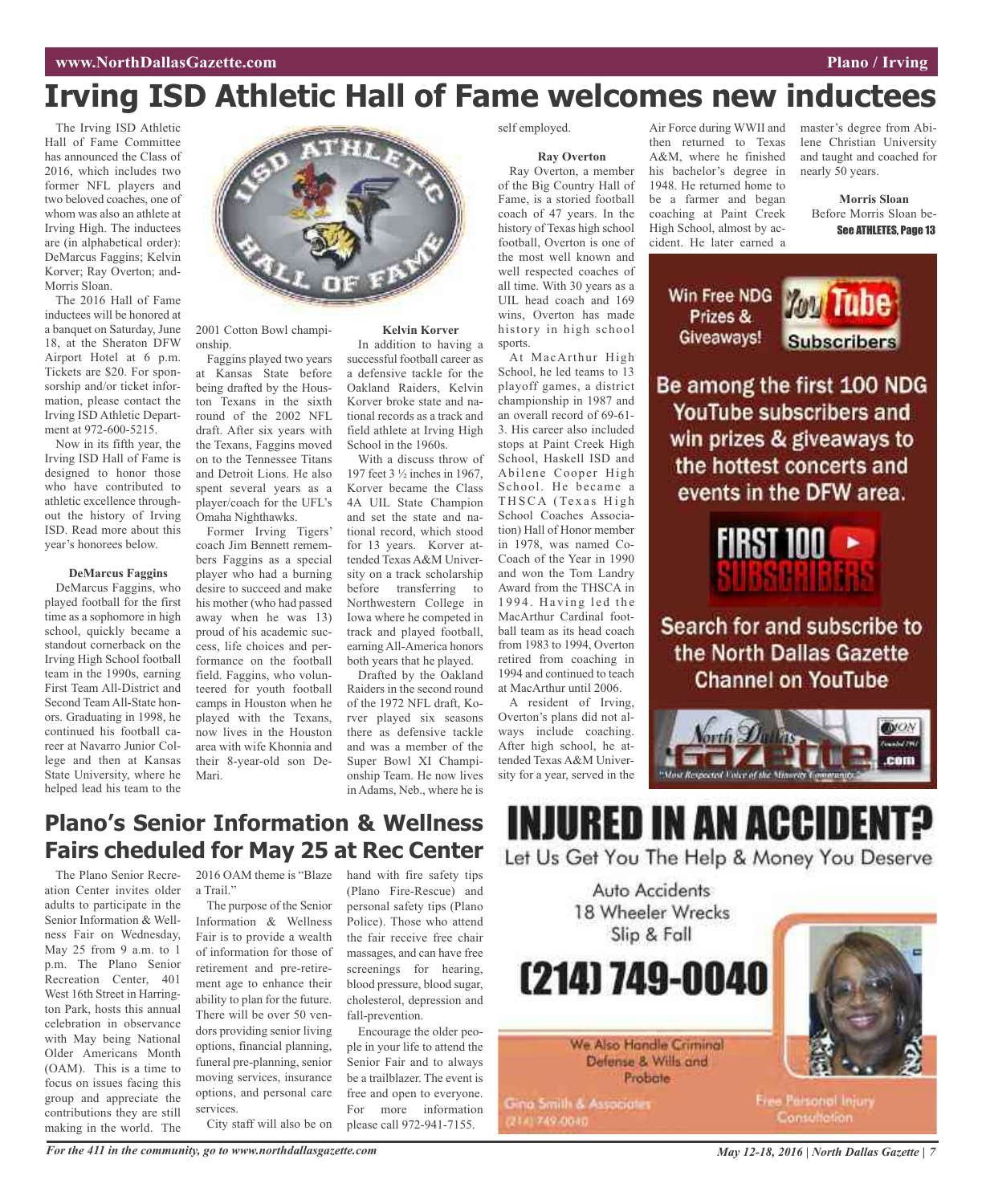## **Irving ISD Athletic Hall of Fame welcomes new inductees**

The Irving ISD Athletic Hall of Fame Committee has announced the Class of 2016, which includes two former NFL players and two beloved coaches, one of whom was also an athlete at Irving High. The inductees are (in alphabetical order): DeMarcus Faggins; Kelvin Korver; Ray Overton; and-Morris Sloan.

The 2016 Hall of Fame inductees will be honored at a banquet on Saturday, June 18, at the Sheraton DFW Airport Hotel at 6 p.m. Tickets are \$20. For sponsorship and/or ticket information, please contact the Irving ISD Athletic Department at 972-600-5215.

Now in its fifth year, the Irving ISD Hall of Fame is designed to honor those who have contributed to athletic excellence throughout the history of Irving ISD. Read more about this year's honorees below.

#### **DeMarcus Faggins**

DeMarcus Faggins, who played football for the first time as a sophomore in high school, quickly became a standout cornerback on the Irving High School football team in the 1990s, earning First Team All-District and Second TeamAll-State honors. Graduating in 1998, he continued his football career at Navarro Junior College and then at Kansas State University, where he helped lead his team to the



2001 Cotton Bowl championship.

Faggins played two years at Kansas State before being drafted by the Houston Texans in the sixth round of the 2002 NFL draft. After six years with the Texans, Faggins moved on to the Tennessee Titans and Detroit Lions. He also spent several years as a player/coach for the UFL's Omaha Nighthawks.

Former Irving Tigers' coach Jim Bennett remembers Faggins as a special player who had a burning desire to succeed and make his mother (who had passed away when he was 13) proud of his academic success, life choices and performance on the football field. Faggins, who volunteered for youth football camps in Houston when he played with the Texans, now lives in the Houston area with wife Khonnia and their 8-year-old son De-Mari.

### **Kelvin Korver**

In addition to having a successful football career as a defensive tackle for the Oakland Raiders, Kelvin Korver broke state and national records as a track and field athlete at Irving High School in the 1960s.

With a discuss throw of 197 feet 3 ½ inches in 1967, Korver became the Class 4A UIL State Champion and set the state and national record, which stood for 13 years. Korver attended Texas A&M University on a track scholarship before transferring to Northwestern College in Iowa where he competed in track and played football, earning All-America honors both years that he played.

Drafted by the Oakland Raiders in the second round of the 1972 NFL draft, Korver played six seasons there as defensive tackle and was a member of the Super Bowl XI Championship Team. He now lives in Adams, Neb., where he is

self employed.

#### **Ray Overton**

Ray Overton, a member of the Big Country Hall of Fame, is a storied football coach of 47 years. In the history of Texas high school football, Overton is one of the most well known and well respected coaches of all time. With 30 years as a UIL head coach and 169 wins, Overton has made history in high school sports.

At MacArthur High School, he led teams to 13 playoff games, a district championship in 1987 and an overall record of 69-61- 3. His career also included stops at Paint Creek High School, Haskell ISD and Abilene Cooper High School. He became a THSCA (Texas High School Coaches Association) Hall of Honor member in 1978, was named Co-Coach of the Year in 1990 and won the Tom Landry Award from the THSCA in 1994. Having led the MacArthur Cardinal football team as its head coach from 1983 to 1994, Overton retired from coaching in 1994 and continued to teach at MacArthur until 2006.

A resident of Irving, Overton's plans did not always include coaching. After high school, he attended Texas A&M University for a year, served in the Air Force during WWII and then returned to Texas A&M, where he finished his bachelor's degree in 1948. He returned home to be a farmer and began coaching at Paint Creek High School, almost by accident. He later earned a

master's degree from Abilene Christian University and taught and coached for nearly 50 years.

> **Morris Sloan** Before Morris Sloan be-See ATHLETES, Page 13

Win Free NDG **You Tube** Prizes & Giveaways!

**Subscribers** Be among the first 100 NDG YouTube subscribers and win prizes & giveaways to the hottest concerts and events in the DFW area.



Search for and subscribe to the North Dallas Gazette **Channel on YouTube** 



### **Plano's Senior Information & Wellness Fairs cheduled for May 25 at Rec Center**

The Plano Senior Recreation Center invites older adults to participate in the Senior Information & Wellness Fair on Wednesday, May 25 from 9 a.m. to 1 p.m. The Plano Senior Recreation Center, 401 West 16th Street in Harrington Park, hosts this annual celebration in observance with May being National Older Americans Month (OAM). This is a time to focus on issues facing this group and appreciate the contributions they are still making in the world. The

2016 OAM theme is "Blaze a Trail."

The purpose of the Senior Information & Wellness Fair is to provide a wealth of information for those of retirement and pre-retirement age to enhance their ability to plan for the future. There will be over 50 vendors providing senior living options, financial planning, funeral pre-planning, senior moving services, insurance options, and personal care services.

City staff will also be on

hand with fire safety tips (Plano Fire-Rescue) and personal safety tips (Plano Police). Those who attend the fair receive free chair massages, and can have free screenings for hearing, blood pressure, blood sugar, cholesterol, depression and fall-prevention.

Encourage the older people in your life to attend the Senior Fair and to always be a trailblazer. The event is free and open to everyone. For more information please call 972-941-7155.

**INJURED IN AN ACCIDENT?** Let Us Get You The Help & Money You Deserve

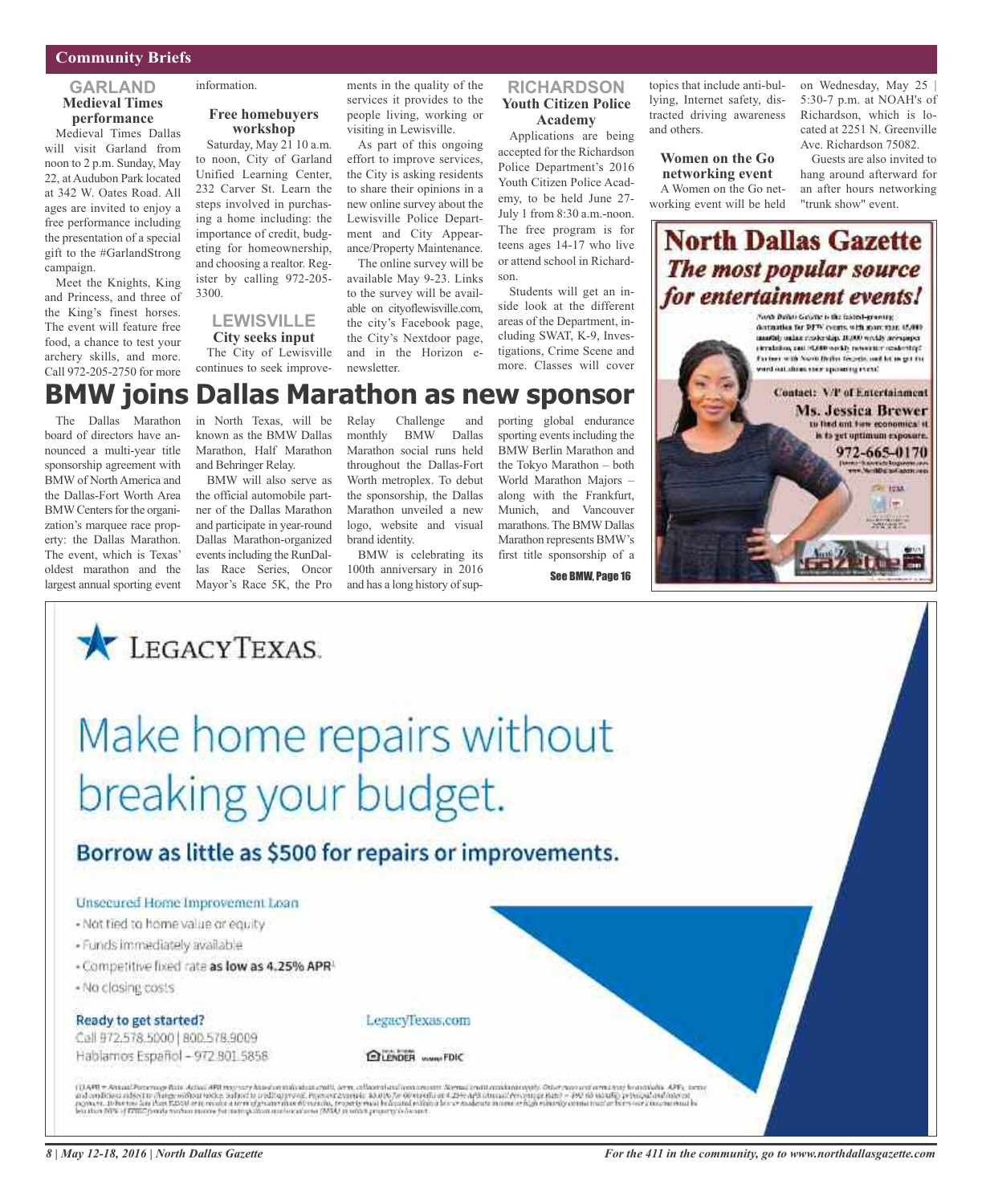### **GARLAND Medieval Times performance**

Medieval Times Dallas will visit Garland from noon to 2 p.m. Sunday, May 22, at Audubon Park located at 342 W. Oates Road. All ages are invited to enjoy a free performance including the presentation of a special gift to the #GarlandStrong campaign.

Meet the Knights, King and Princess, and three of the King's finest horses. The event will feature free food, a chance to test your archery skills, and more. Call 972-205-2750 for more

#### information.

### **Free homebuyers workshop**

Saturday, May 21 10 a.m. to noon, City of Garland Unified Learning Center, 232 Carver St. Learn the steps involved in purchasing a home including: the importance of credit, budgeting for homeownership, and choosing a realtor. Register by calling 972-205- 3300.

#### **LEWISVILLE City seeks input**

The City of Lewisville continues to seek improvements in the quality of the services it provides to the people living, working or visiting in Lewisville.

As part of this ongoing effort to improve services, the City is asking residents to share their opinions in a new online survey about the Lewisville Police Department and City Appearance/Property Maintenance.

The online survey will be available May 9-23. Links to the survey will be available on cityoflewisville.com, the city's Facebook page, the City's Nextdoor page, and in the Horizon enewsletter.

### **RICHARDSON Youth Citizen Police Academy**

Applications are being accepted for the Richardson Police Department's 2016 Youth Citizen Police Academy, to be held June 27- July 1 from 8:30 a.m.-noon. The free program is for teens ages 14-17 who live or attend school in Richardson.

Students will get an inside look at the different areas of the Department, including SWAT, K-9, Investigations, Crime Scene and more. Classes will cover

topics that include anti-bullying, Internet safety, distracted driving awareness and others.

**Women on the Go networking event** A Women on the Go networking event will be held on Wednesday, May 25 | 5:30-7 p.m. at NOAH's of Richardson, which is located at 2251 N. Greenville Ave. Richardson 75082.

Guests are also invited to hang around afterward for an after hours networking "trunk show" event.

### **North Dallas Gazette** The most popular source for entertainment events! Fords Duties Gerica: is the fastest-growing destination for DPW courts, with more star, 45,000. mustaly unline resolventing. 10,000 weekly accepance hitehedation and there dataset data task task audiodective factors with North Britist George and let us get the level and shows the special and brew Contact: V/P of Entertainment **Ms. Jessica Brewer** tu lind ont here economical it is to get optimum exposure. 972-665-0170 **INDE BALANCHUNG C-12M Gallery**  $200 - 247$

See BMW, Page 16

## **BMW joins Dallas Marathon as new sponsor**

The Dallas Marathon board of directors have announced a multi-year title sponsorship agreement with BMW of North America and the Dallas-Fort Worth Area BMW Centers for the organization's marquee race property: the Dallas Marathon. The event, which is Texas' oldest marathon and the largest annual sporting event

in North Texas, will be known as the BMW Dallas Marathon, Half Marathon and Behringer Relay.

BMW will also serve as the official automobile partner of the Dallas Marathon and participate in year-round Dallas Marathon-organized events including the RunDallas Race Series, Oncor Mayor's Race 5K, the Pro

Relay Challenge and monthly BMW Dallas Marathon social runs held throughout the Dallas-Fort Worth metroplex. To debut the sponsorship, the Dallas Marathon unveiled a new logo, website and visual brand identity.

BMW is celebrating its 100th anniversary in 2016 and has a long history of supporting global endurance sporting events including the BMW Berlin Marathon and the Tokyo Marathon – both World Marathon Majors – along with the Frankfurt, Munich, and Vancouver marathons. The BMW Dallas Marathon represents BMW's first title sponsorship of a

# Make home repairs without breaking your budget.

## Borrow as little as \$500 for repairs or improvements.

### Unsecured Home Improvement Loan

**X** LEGACYTEXAS

- Not tied to home value or equity
- · Funds immediately available
- Competitive fixed rate as low as 4.25% APR<sup>L</sup>
- · No clasing costs

### Ready to get started?

Call 972,578,5000 | 800,578,9009 Hablamos Español - 972 801 5858 LegacyTexas.com

**CHENDER** www.FDIC

(DAM = Annal Peremge Rak Advel ARI my say has den minduit and), lem, allomalaid hen annat Remal modernicepty. Oder mee and amb net jeuneble aPP<sub>h</sub> bene<br>and couldness also to have about exists a lead of the meet remain mode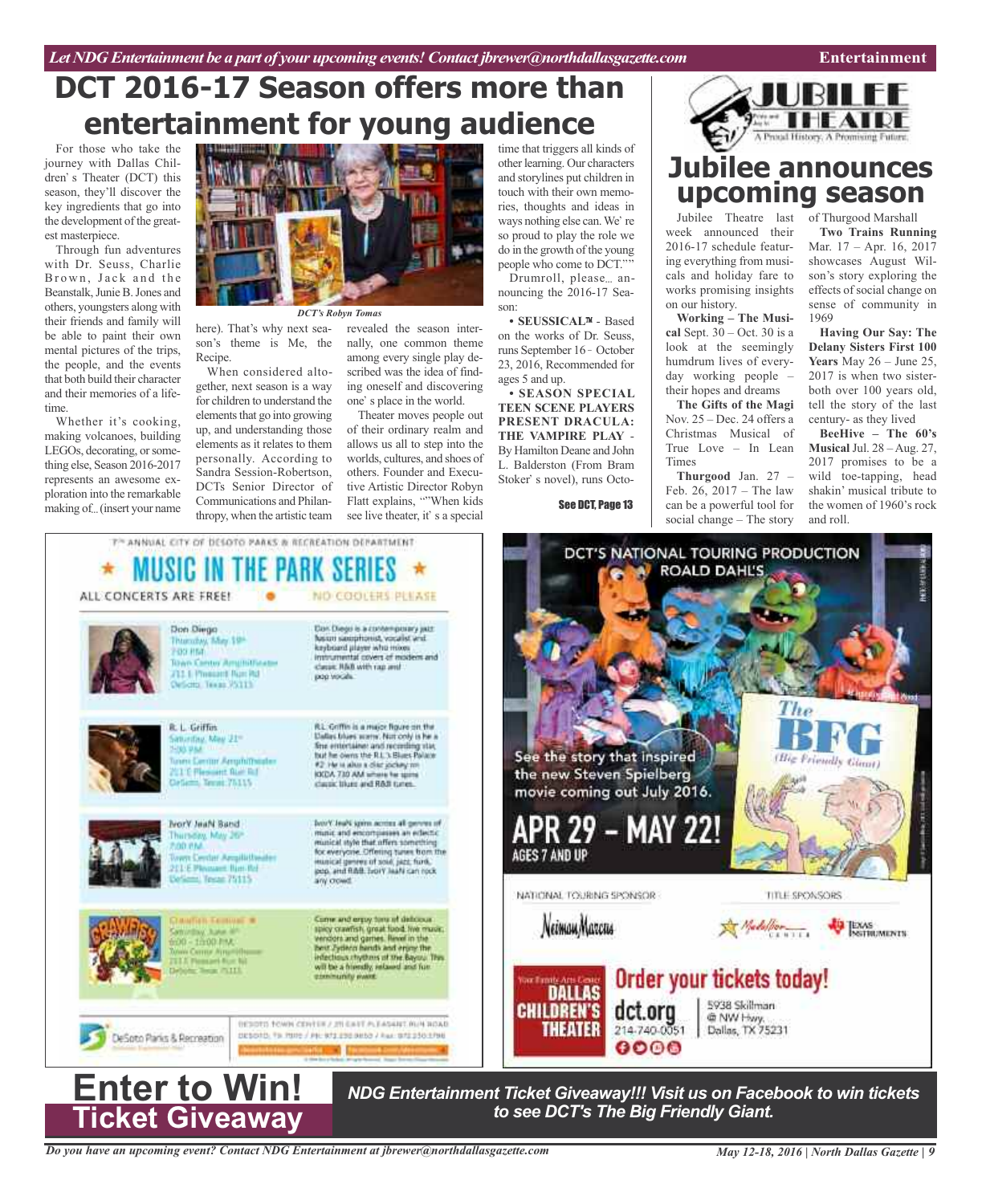## **DCT 2016-17 Season offers more than entertainment for young audience**

For those who take the journey with Dallas Children's Theater (DCT) this season, they'll discover the key ingredients that go into the development of the greatest masterpiece.

Through fun adventures with Dr. Seuss, Charlie Brown, Jack and the Beanstalk,JunieB.Jones and others, youngsters along with their friends and family will be able to paint their own mental pictures of the trips, the people, and the events that both build their character and their memories of a lifetime.

Whether it's cooking, making volcanoes, building LEGOs, decorating, or something else, Season 2016-2017 represents an awesome exploration into the remarkable making of ... (insert your name

ALL CONCERTS ARE FREE!

Don Diego https://www.falley.19th **GIG HIGH** 

R. L. Griffin

anustras May 21-**Little place** 

**NorY JeaN Band** 

hursday, May 26 **OD WAR** 

M100 00 - 00

DeSoto Paris & Recreation

lanes Cernor Arrymonial

Territ 75115

**ATT Certait Angilistient CLEPknower Birt-Bel EL: Tesas 75115** 

> in Ki  $73.111$

**CT E Plasswert Bush But** 

**Dan Center Amunitican** 

711 E Phoesent Run Rd

Letta Texas 95333

*DCT's Robyn Tomas*

here). That's why next season's theme is Me, the Recipe.

When considered altogether, next season is a way for children to understand the elements that go into growing up, and understanding those elements as it relates to them personally. According to Sandra Session-Robertson, DCTs Senior Director of Communications and Philanthropy, when the artistic team

7<sup>%</sup> ANNUAL CITY OF DESOTO PARKS & RECREATION DEPARTMENT

**MUSIC IN THE PARK SERIES** 

revealed the season internally, one common theme among every single play described was the idea of finding oneself and discovering one's place in the world.

Theater moves people out of their ordinary realm and allows us all to step into the worlds, cultures, and shoes of others. Founder and Executive Artistic Director Robyn Flatt explains, "When kids see live theater, it's a special

NO COOLERS PLEASE

Cor. Diego is a contemporary just<br>Naixo samphonist, vocalist and<br>keyboard player who mixes

instrumental covers of modern and

R.L. Griffin is a major figure on the

Dallas blues warre. Not coly is he a<br>fine entertaine: and recording vias.<br>but he owns the R.L.'s Blues Palace

box/Clear/Cypins across all genres of

music and emortpasses an edectic<br>musical style that offers something<br>for everyone. Offering tures from the<br>musical genera of soul, jazz, furth,<br>jazz, northald, bory leafs can rock

Come and erpsy tons of deboous

**Numity makes** 

DESIDED FOWN CENTER / 29 EAST PLEASANT PUN ROAD

DESCRIB, TH POTE / PE-972.230 MISO / Fax: 072.250.17MI

specy crawfish great food. We music,<br>vendors and games. Revel in the<br>hext Zydeco heruts and enjoy the<br>intectious stytters of the Bayou. This<br>will be a friendly, relaxed and fur

#2 He is also a disc jockey not

KKDA 730 AM where he spins<br>classic likes and R&B tunes.

Cases R&B with rap and

pop woods.

any crowd:

time that triggers all kinds of other learning. Our characters and storylines put children in touch with their own memories, thoughts and ideas in ways nothing else can. We're so proud to play the role we do in the growth of the young people who come to DCT."

Drumroll, please... announcing the 2016-17 Season:

**• SEUSSICAL<sup>™</sup> - Based** on the works of Dr. Seuss, runs September 16 - October 23, 2016, Recommended for ages 5 and up.

**• SEASON SPECIAL TEEN SCENE PLAYERS PRESENT DRACULA: THE VAMPIRE PLAY** - By Hamilton Deane and John L. Balderston (From Bram Stoker's novel), runs Octo-

See DCT, Page 13

THEA A Proud History, A Promising Futur **Jubilee announces**

# **upcoming season**

Jubilee Theatre last week announced their 2016-17 schedule featuring everything from musicals and holiday fare to works promising insights on our history.

**Working – The Musical** Sept. 30 – Oct. 30 is a look at the seemingly humdrum lives of everyday working people – their hopes and dreams

**The Gifts of the Magi** Nov. 25 – Dec. 24 offers a Christmas Musical of True Love – In Lean Times

**Thurgood** Jan. 27 – Feb. 26, 2017 – The law can be a powerful tool for social change – The story

of Thurgood Marshall **Two Trains Running** Mar. 17 – Apr. 16, 2017 showcases August Wilson's story exploring the effects of social change on sense of community in 1969

**Having Our Say: The Delany Sisters First 100 Years** May 26 – June 25, 2017 is when two sisterboth over 100 years old, tell the story of the last century- as they lived

**BeeHive – The 60's Musical** Jul. 28 – Aug. 27, 2017 promises to be a wild toe-tapping, head shakin' musical tribute to the women of 1960's rock and roll.



**Ticket Giveaway**

*NDG Entertainment Ticket Giveaway!!! Visit us on Facebook to win tickets to see DCT's The Big Friendly Giant.* **Enter to Win!**

*Do you have an upcoming event? Contact NDG Entertainment at jbrewer@northdallasgazette.com*

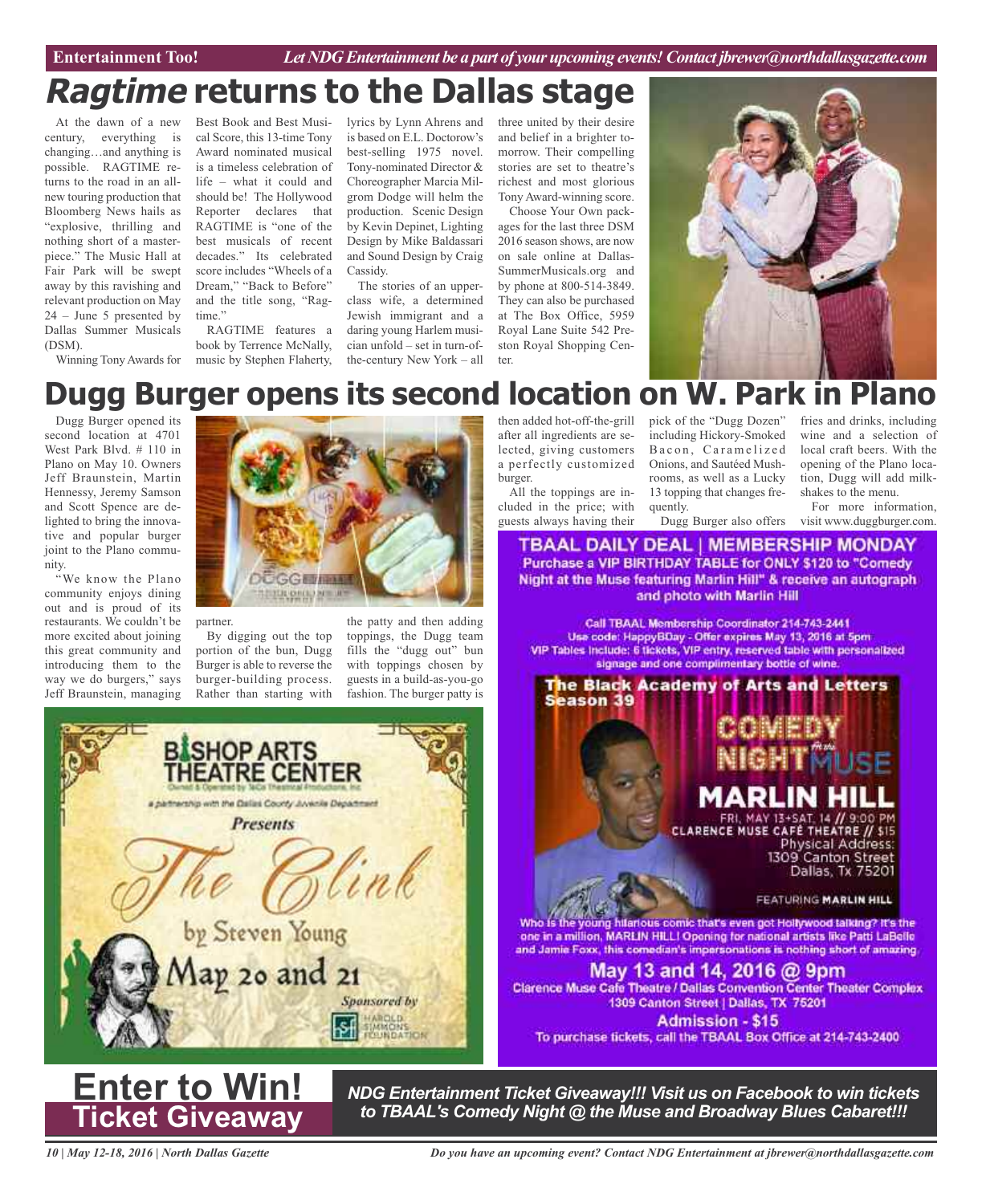Entertainment Too! *Let NDG Entertainment be a part of your upcoming events! Contact jbrewer@northdallasgazette.com* 

## **Ragtime returns to the Dallas stage**

At the dawn of a new century, everything is changing…and anything is possible. RAGTIME returns to the road in an allnew touring production that Bloomberg News hails as "explosive, thrilling and nothing short of a masterpiece." The Music Hall at Fair Park will be swept away by this ravishing and relevant production on May 24 – June 5 presented by Dallas Summer Musicals (DSM).

Winning Tony Awards for

Best Book and Best Musical Score, this 13-time Tony Award nominated musical is a timeless celebration of life – what it could and should be! The Hollywood Reporter declares that RAGTIME is "one of the best musicals of recent decades." Its celebrated score includes "Wheels of a Dream," "Back to Before" and the title song, "Ragtime."

RAGTIME features a book by Terrence McNally, music by Stephen Flaherty,

lyrics by Lynn Ahrens and is based on E.L. Doctorow's best-selling 1975 novel. Tony-nominated Director & Choreographer Marcia Milgrom Dodge will helm the production. Scenic Design by Kevin Depinet, Lighting Design by Mike Baldassari and Sound Design by Craig Cassidy.

The stories of an upperclass wife, a determined Jewish immigrant and a daring young Harlem musician unfold – set in turn-ofthe-century New York – all three united by their desire and belief in a brighter tomorrow. Their compelling stories are set to theatre's richest and most glorious Tony Award-winning score.

Choose Your Own packages for the last three DSM 2016 season shows, are now on sale online at Dallas-SummerMusicals.org and by phone at 800-514-3849. They can also be purchased at The Box Office, 5959 Royal Lane Suite 542 Preston Royal Shopping Center.



## **Dugg Burger opens its second location on W. Park in Plano**

Dugg Burger opened its second location at 4701 West Park Blvd. # 110 in Plano on May 10. Owners Jeff Braunstein, Martin Hennessy, Jeremy Samson and Scott Spence are delighted to bring the innovative and popular burger joint to the Plano community.

"We know the Plano community enjoys dining out and is proud of its restaurants. We couldn't be more excited about joining this great community and introducing them to the way we do burgers," says Jeff Braunstein, managing



partner.

By digging out the top portion of the bun, Dugg Burger is able to reverse the burger-building process. Rather than starting with

the patty and then adding toppings, the Dugg team fills the "dugg out" bun with toppings chosen by guests in a build-as-you-go fashion. The burger patty is



then added hot-off-the-grill after all ingredients are selected, giving customers a perfectly customized burger. All the toppings are in-

including Hickory-Smoked Bacon, Caramelized Onions, and Sautéed Mushrooms, as well as a Lucky 13 topping that changes frequently.

pick of the "Dugg Dozen"

fries and drinks, including wine and a selection of local craft beers. With the opening of the Plano location, Dugg will add milkshakes to the menu.

cluded in the price; with guests always having their Dugg Burger also offers

For more information, visit www.duggburger.com.

TBAAL DAILY DEAL | MEMBERSHIP MONDAY Purchase a VIP BIRTHDAY TABLE for ONLY \$120 to "Comedy Night at the Muse featuring Marlin Hill" & receive an autograph and photo with Marlin Hill

Call TBAAL Membership Coordinator 214-743-2441 Use code: HappyBDay - Offer expires May 13, 2016 at 5pm VIP Tables include: 6 tickets, VIP entry, reserved table with personalized signage and one complimentary bottle of wine.



Physical Address: 1309 Canton Street Dallas, Tx 75201

FEATURING MARLIN HILL

oung hilarious comic that's even got Hollywood talking? It's the one in a million, MARLIN HILL! Opening for national artists like Patti LaBelle and Jamie Foxx, this comedian's impersonations is nothing short of amazing.

May 13 and 14, 2016 @ 9pm<br>Clarence Muse Cafe Theatre / Dallas Convention Center Theater Complex 1309 Canton Street | Dallas, TX 75201

**Admission - \$15** To purchase tickets, call the TBAAL Box Office at 214-743-2400

*NDG Entertainment Ticket Giveaway!!! Visit us on Facebook to win tickets to TBAAL's Comedy Night @ the Muse and Broadway Blues Cabaret!!!*

*10 | May 12-18, 2016 | North Dallas Gazette*

**Enter to Win!**

**Ticket Giveaway**

*Do you have an upcoming event? Contact NDG Entertainment at jbrewer@northdallasgazette.com*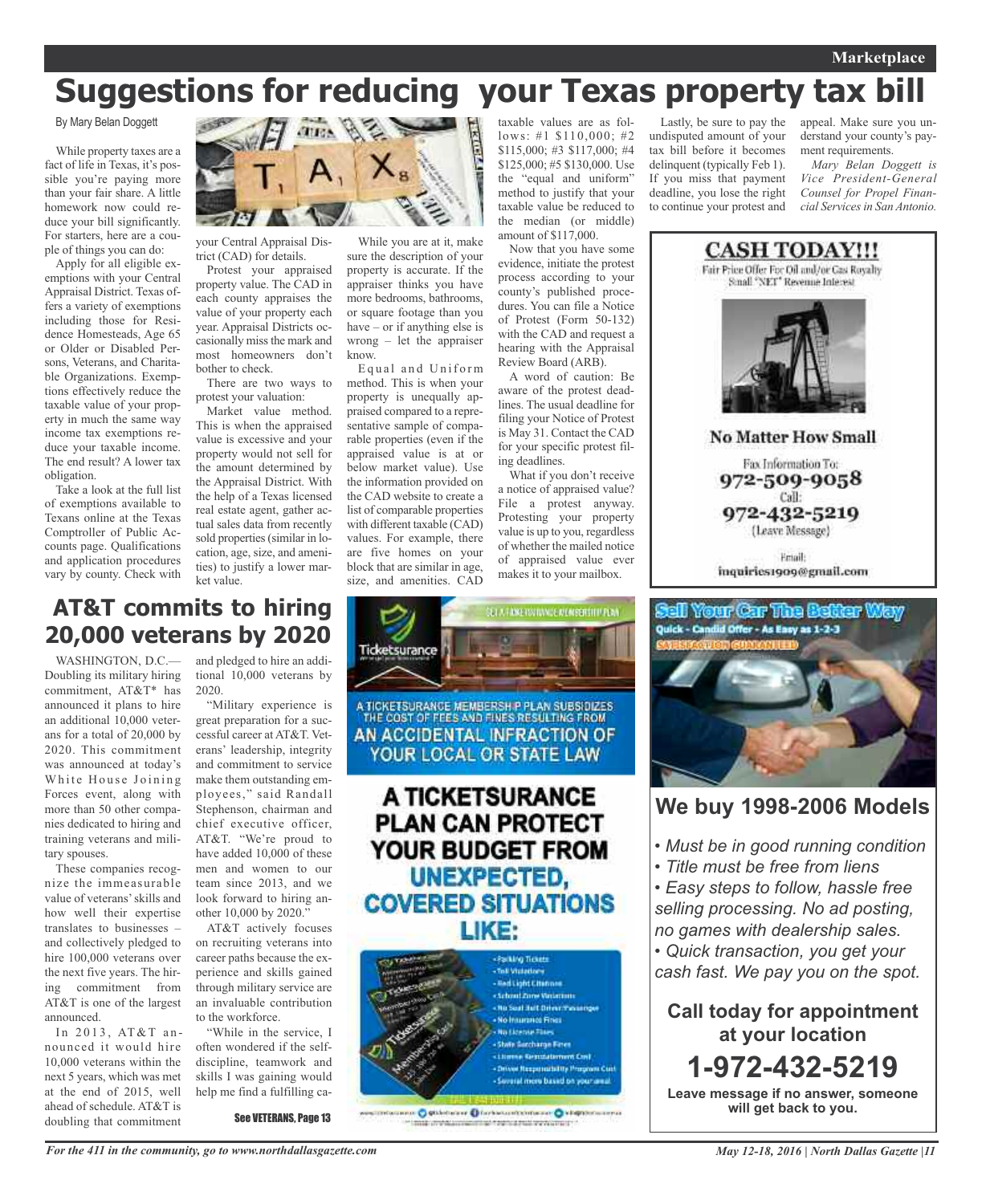## **Suggestions for reducing your Texas property tax bill**

By Mary Belan Doggett

While property taxes are a fact of life in Texas, it's possible you're paying more than your fair share. A little homework now could reduce your bill significantly. For starters, here are a couple of things you can do:

Apply for all eligible exemptions with your Central Appraisal District. Texas offers a variety of exemptions including those for Residence Homesteads, Age 65 or Older or Disabled Persons, Veterans, and Charitable Organizations. Exemptions effectively reduce the taxable value of your property in much the same way income tax exemptions reduce your taxable income. The end result? A lower tax obligation.

Take a look at the full list of exemptions available to Texans online at the Texas Comptroller of Public Accounts page. Qualifications and application procedures vary by county. Check with



your Central Appraisal District (CAD) for details.

Protest your appraised property value. The CAD in each county appraises the value of your property each year. Appraisal Districts occasionally miss the mark and most homeowners don't bother to check.

There are two ways to protest your valuation:

Market value method. This is when the appraised value is excessive and your property would not sell for the amount determined by the Appraisal District. With the help of a Texas licensed real estate agent, gather actual sales data from recently sold properties(similar in location, age, size, and amenities) to justify a lower market value.

While you are at it, make sure the description of your property is accurate. If the appraiser thinks you have more bedrooms, bathrooms, or square footage than you have – or if anything else is wrong – let the appraiser know.

Equal and Uniform method. This is when your property is unequally appraised compared to a representative sample of comparable properties (even if the appraised value is at or below market value). Use the information provided on the CAD website to create a list of comparable properties with different taxable (CAD) values. For example, there are five homes on your block that are similar in age, size, and amenities. CAD

Ticketsurance

taxable values are as follows: #1 \$110,000; #2 \$115,000; #3 \$117,000; #4 \$125,000; #5 \$130,000. Use the "equal and uniform" method to justify that your taxable value be reduced to the median (or middle) amount of \$117,000.

Now that you have some evidence, initiate the protest process according to your county's published procedures. You can file a Notice of Protest (Form 50-132) with the CAD and request a hearing with the Appraisal Review Board (ARB).

A word of caution: Be aware of the protest deadlines. The usual deadline for filing your Notice of Protest is May 31. Contact the CAD for your specific protest filing deadlines.

What if you don't receive a notice of appraised value? File a protest anyway. Protesting your property value is up to you, regardless of whether the mailed notice of appraised value ever makes it to your mailbox.

ET A FANE TOVANNICE MEMBEREHT FEN

Lastly, be sure to pay the undisputed amount of your tax bill before it becomes delinquent (typically Feb 1). If you miss that payment deadline, you lose the right to continue your protest and

appeal. Make sure you understand your county's payment requirements.

*Mary Belan Doggett is Vice President-General Counsel for Propel Financial Servicesin San Antonio.*





### **We buy 1998-2006 Models**

- *• Must be in good running condition*
- *• Title must be free from liens*

*• Easy steps to follow, hassle free selling processing. No ad posting, no games with dealership sales. • Quick transaction, you get your cash fast. We pay you on the spot.*

**Call today for appointment at your location 1-972-432-5219 Leave message if no answer, someone will get back to you.**

- No Seat Jult Driver Processes No Insurance Fines

Parking Tickets Tell Visiations - Red Light Channel **Crimit Ame Vinanon** 

No Lizente Filie State Surcharge Fines Literae Gemilatement Cost - Driver Responsibility Program Cur - Soveral mere based on your await

A TICKETSURANCE MEMBERSH P PLAN SUBSIDIZES THE COST OF FEES AND FINES RESULTING FROM AN ACCIDENTAL INFRACTION OF YOUR LOCAL OR STATE LAW

A TICKETSURANCE

**PLAN CAN PROTECT** 

YOUR BUDGET FROM

UNEXPECTED,

**COVERED SITUATIONS** 

LIKE:

wellinformer: O stilehelare Dischargehouse O khanterwayer **Systematics Logic Program & Production Composition** 

**AT&T commits to hiring 20,000 veterans by 2020**

WASHINGTON,  $D C$  — Doubling its military hiring commitment, AT&T\* has announced it plans to hire an additional 10,000 veterans for a total of 20,000 by 2020. This commitment was announced at today's White House Joining Forces event, along with more than 50 other companies dedicated to hiring and training veterans and military spouses.

These companies recognize the immeasurable value of veterans'skills and how well their expertise translates to businesses – and collectively pledged to hire 100,000 veterans over the next five years. The hiring commitment from AT&T is one of the largest announced.

In 2013, AT&T announced it would hire 10,000 veterans within the next 5 years, which was met at the end of 2015, well ahead of schedule. AT&T is doubling that commitment

and pledged to hire an additional 10,000 veterans by 2020.

"Military experience is great preparation for a successful career at AT&T. Veterans' leadership, integrity and commitment to service make them outstanding employees," said Randall Stephenson, chairman and chief executive officer, AT&T. "We're proud to have added 10,000 of these men and women to our team since 2013, and we look forward to hiring another 10,000 by 2020."

AT&T actively focuses on recruiting veterans into career paths because the experience and skills gained through military service are an invaluable contribution to the workforce.

"While in the service, I often wondered if the selfdiscipline, teamwork and skills I was gaining would help me find a fulfilling ca-

See VETERANS, Page 13



*May 12-18, 2016 | North Dallas Gazette |11*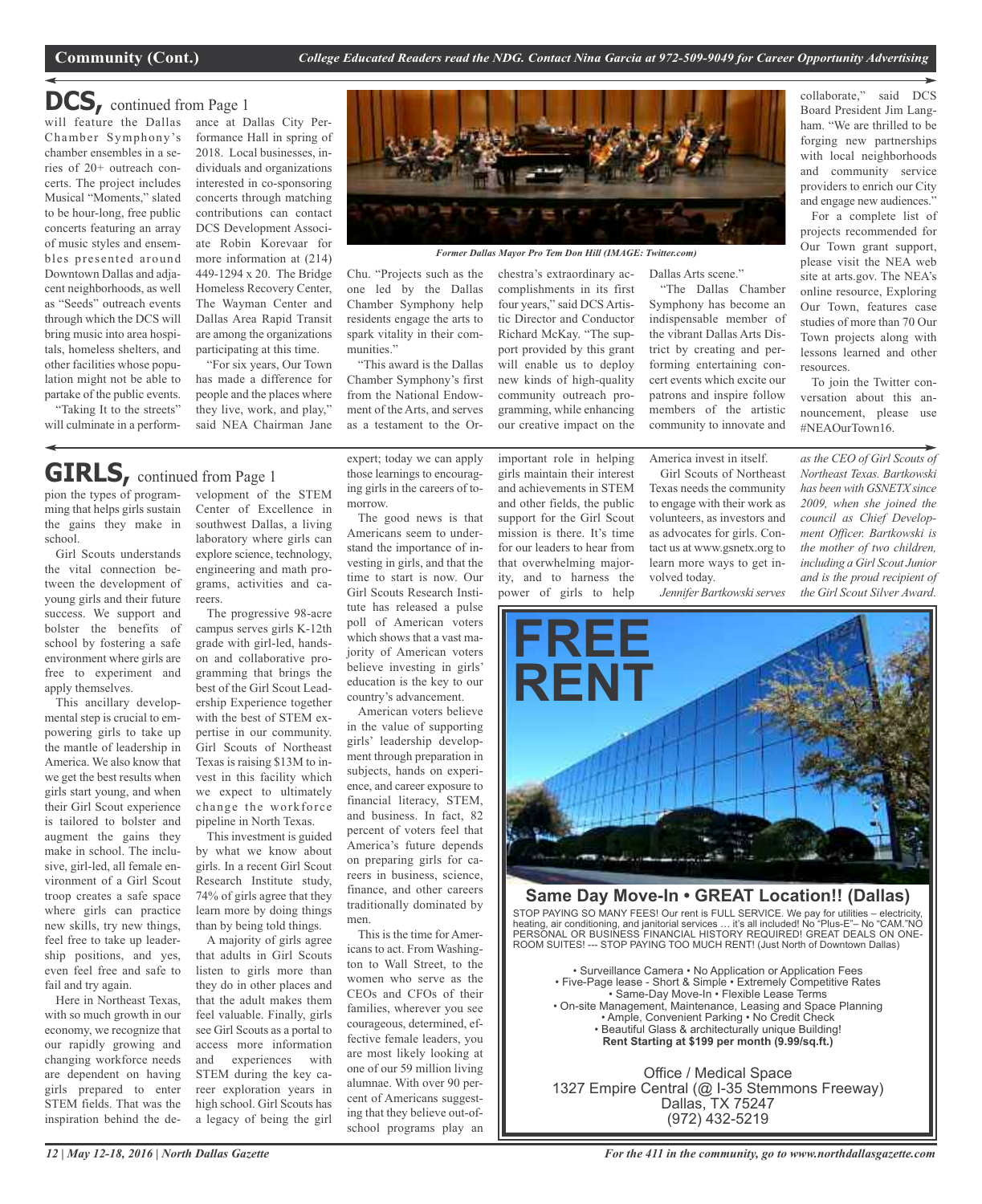## **DCS,** continued from Page <sup>1</sup>

will feature the Dallas Chamber Symphony's chamber ensembles in a series of 20+ outreach concerts. The project includes Musical "Moments," slated to be hour-long, free public concerts featuring an array of music styles and ensembles presented around Downtown Dallas and adjacent neighborhoods, as well as "Seeds" outreach events through which the DCS will bring music into area hospitals, homeless shelters, and other facilities whose population might not be able to partake of the public events.

ance at Dallas City Performance Hall in spring of 2018. Local businesses, individuals and organizations interested in co-sponsoring concerts through matching contributions can contact DCS Development Associate Robin Korevaar for more information at (214) 449-1294 x 20. The Bridge Homeless Recovery Center, The Wayman Center and Dallas Area Rapid Transit are among the organizations participating at this time.

"For six years, Our Town has made a difference for people and the places where they live, work, and play," said NEA Chairman Jane

## **GIRLS, continued from Page 1**

pion the types of programming that helps girls sustain the gains they make in school.

"Taking It to the streets" will culminate in a perform-

Girl Scouts understands the vital connection between the development of young girls and their future success. We support and bolster the benefits of school by fostering a safe environment where girls are free to experiment and apply themselves.

This ancillary developmental step is crucial to empowering girls to take up the mantle of leadership in America. We also know that we get the best results when girls start young, and when their Girl Scout experience is tailored to bolster and augment the gains they make in school. The inclusive, girl-led, all female environment of a Girl Scout troop creates a safe space where girls can practice new skills, try new things, feel free to take up leadership positions, and yes, even feel free and safe to fail and try again.

Here in Northeast Texas, with so much growth in our economy, we recognize that our rapidly growing and changing workforce needs are dependent on having girls prepared to enter STEM fields. That was the inspiration behind the development of the STEM Center of Excellence in southwest Dallas, a living laboratory where girls can explore science, technology, engineering and math programs, activities and careers.

The progressive 98-acre campus serves girls K-12th grade with girl-led, handson and collaborative programming that brings the best of the Girl Scout Leadership Experience together with the best of STEM expertise in our community. Girl Scouts of Northeast Texas is raising \$13M to invest in this facility which we expect to ultimately change the workforce pipeline in North Texas.

This investment is guided by what we know about girls. In a recent Girl Scout Research Institute study, 74% of girls agree that they learn more by doing things than by being told things.

A majority of girls agree that adults in Girl Scouts listen to girls more than they do in other places and that the adult makes them feel valuable. Finally, girls see Girl Scouts as a portal to access more information and experiences with STEM during the key career exploration years in high school. Girl Scouts has a legacy of being the girl expert; today we can apply those learnings to encouraging girls in the careers of tomorrow.

Chu. "Projects such as the one led by the Dallas Chamber Symphony help residents engage the arts to spark vitality in their com-

"This award is the Dallas Chamber Symphony's first from the National Endowment of the Arts, and serves as a testament to the Or-

munities."

The good news is that Americans seem to understand the importance of investing in girls, and that the time to start is now. Our Girl Scouts Research Institute has released a pulse poll of American voters which shows that a vast majority of American voters believe investing in girls' education is the key to our country's advancement.

American voters believe in the value of supporting girls' leadership development through preparation in subjects, hands on experience, and career exposure to financial literacy, STEM, and business. In fact, 82 percent of voters feel that America's future depends on preparing girls for careers in business, science, finance, and other careers traditionally dominated by men.

This is the time for Americans to act. From Washington to Wall Street, to the women who serve as the CEOs and CFOs of their families, wherever you see courageous, determined, effective female leaders, you are most likely looking at one of our 59 million living alumnae. With over 90 percent of Americans suggesting that they believe out-ofschool programs play an



*Former Dallas Mayor Pro Tem Don Hill (IMAGE: Twitter.com)*

chestra's extraordinary accomplishments in its first four years," said DCS Artistic Director and Conductor Richard McKay. "The support provided by this grant will enable us to deploy new kinds of high-quality community outreach programming, while enhancing our creative impact on the

important role in helping girls maintain their interest and achievements in STEM and other fields, the public support for the Girl Scout mission is there. It's time for our leaders to hear from that overwhelming majority, and to harness the power of girls to help

Dallas Arts scene." "The Dallas Chamber Symphony has become an indispensable member of the vibrant Dallas Arts District by creating and performing entertaining concert events which excite our patrons and inspire follow members of the artistic community to innovate and

America invest in itself. Girl Scouts of Northeast Texas needs the community to engage with their work as volunteers, as investors and as advocates for girls. Contact us at www.gsnetx.org to learn more ways to get involved today.

*Jennifer Bartkowskiserves*



### **Same Day Move-In • GREAT Location!! (Dallas)** STOP PAYING SO MANY FEES! Our rent is FULL SERVICE. We pay for utilities – electricity, heating, air conditioning, and janitorial services … it's all included! No "Plus-E"– No "CAM."NO PERSONAL OR BUSINESS FINANCIAL HISTORY REQUIRED! GREAT DEALS ON ONE-ROOM SUITES! --- STOP PAYING TOO MUCH RENT! (Just North of Downtown Dallas)

• Surveillance Camera • No Application or Application Fees • Five-Page lease - Short & Simple • Extremely Competitive Rates • Same-Day Move-In • Flexible Lease Terms • On-site Management, Maintenance, Leasing and Space Planning • Ample, Convenient Parking • No Credit Check • Beautiful Glass & architecturally unique Building! **Rent Starting at \$199 per month (9.99/sq.ft.)**

Office / Medical Space 1327 Empire Central (@ I-35 Stemmons Freeway) Dallas, TX 75247 (972) 432-5219

collaborate," said DCS Board President Jim Langham. "We are thrilled to be forging new partnerships with local neighborhoods and community service providers to enrich our City and engage new audiences."

For a complete list of projects recommended for Our Town grant support, please visit the NEA web site at arts.gov. The NEA's online resource, Exploring Our Town, features case studies of more than 70 Our Town projects along with lessons learned and other resources.

To join the Twitter conversation about this announcement, please use #NEAOurTown16.

*as the CEO of Girl Scouts of Northeast Texas. Bartkowski has been with GSNETX since 2009, when she joined the council as Chief Development Officer. Bartkowski is the mother of two children, including a Girl Scout Junior and is the proud recipient of the Girl Scout Silver Award.*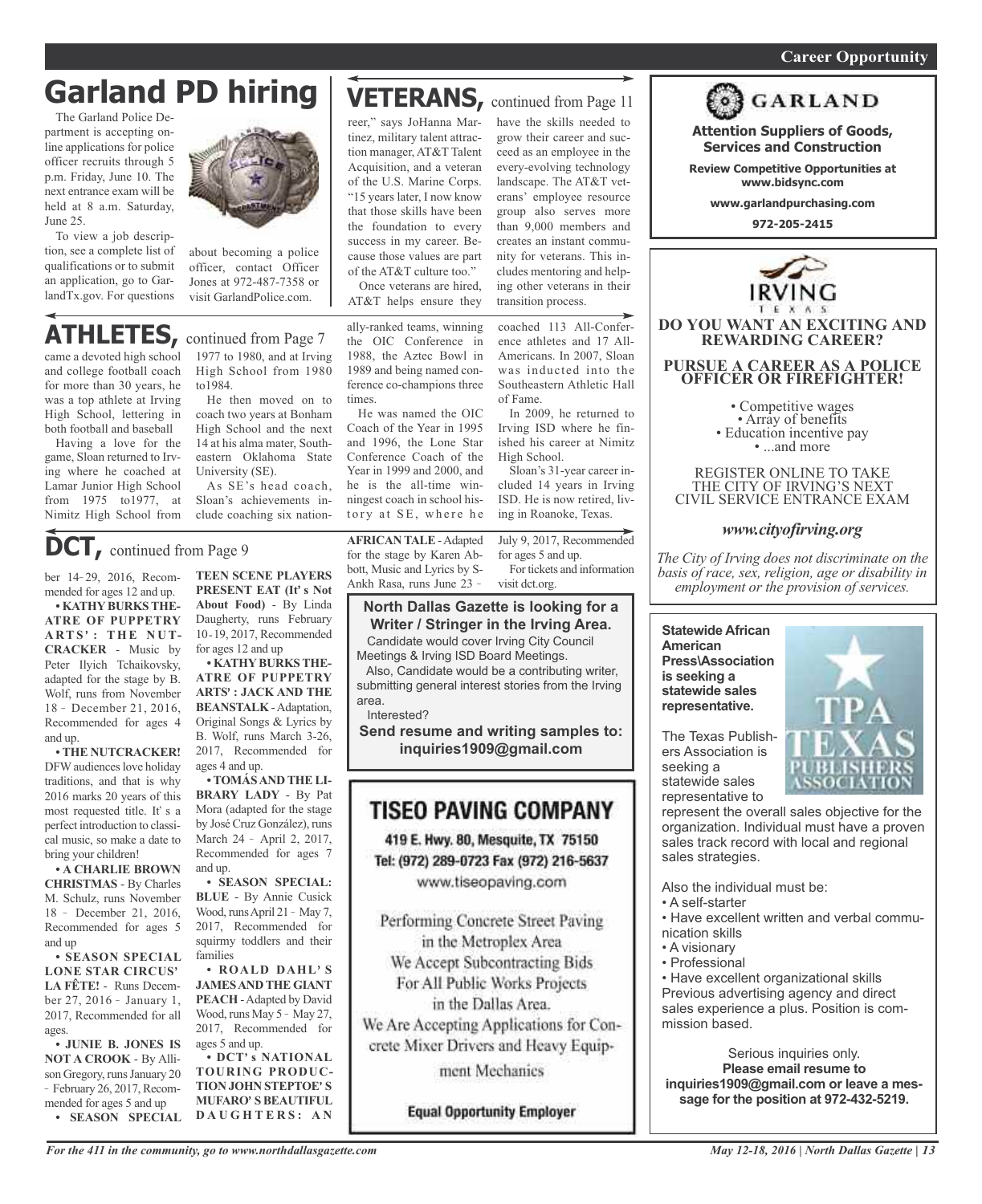### *On a quest for qualified candidates? Contact Nina Garcia at 972-509-9049* **Career Opportunity**

## Garland PD hiring | VETERANS, continued from Page 11

The Garland Police Department is accepting online applications for police officer recruits through 5 p.m. Friday, June 10. The next entrance exam will be held at 8 a.m. Saturday, June 25.

To view a job description, see a complete list of qualifications or to submit an application, go to GarlandTx.gov. For questions



about becoming a police officer, contact Officer Jones at 972-487-7358 or visit GarlandPolice.com.

## **ATHLETES,** continued from Page <sup>7</sup>

came a devoted high school and college football coach for more than 30 years, he was a top athlete at Irving High School, lettering in both football and baseball

Having a love for the game, Sloan returned to Irving where he coached at Lamar Junior High School from 1975 to1977, at Nimitz High School from

1977 to 1980, and at Irving High School from 1980 to1984. He then moved on to

coach two years at Bonham High School and the next 14 at his alma mater, Southeastern Oklahoma State University (SE).

As SE's head coach, Sloan's achievements include coaching six nationtimes. He was named the OIC Coach of the Year in 1995 and 1996, the Lone Star Conference Coach of the Year in 1999 and 2000, and

reer," says JoHanna Martinez, military talent attraction manager, AT&T Talent Acquisition, and a veteran of the U.S. Marine Corps. "15 years later, I now know that those skills have been the foundation to every success in my career. Be-

of the AT&T culture too."

he is the all-time winningest coach in school history at SE, where he

ally-ranked teams, winning the OIC Conference in 1988, the Aztec Bowl in 1989 and being named conference co-champions three coached 113 All-Conference athletes and 17 All-Americans. In 2007, Sloan was inducted into the Southeastern Athletic Hall cause those values are part Once veterans are hired, AT&T helps ensure they nity for veterans. This includes mentoring and helping other veterans in their transition process.

have the skills needed to grow their career and succeed as an employee in the every-evolving technology landscape. The AT&T veterans' employee resource group also serves more than 9,000 members and creates an instant commu-

of Fame. In 2009, he returned to Irving ISD where he finished his career at Nimitz High School.

Sloan's 31-year career included 14 years in Irving ISD. He is now retired, living in Roanoke, Texas.

**DCT,** continued from Page <sup>9</sup>

ber 14-29, 2016, Recommended for ages 12 and up. **• KATHYBURKSTHE-**

**ATRE OF PUPPETRY A RTS : T H E N U T-CRACKER** - Music by Peter Ilyich Tchaikovsky, adapted for the stage by B. Wolf, runs from November 18 - December 21, 2016, Recommended for ages 4 and up.

**• THE NUTCRACKER!** DFW audiences love holiday traditions, and that is why 2016 marks 20 years of this most requested title. It's a perfect introduction to classical music, so make a date to bring your children!

**• A CHARLIE BROWN CHRISTMAS** - By Charles M. Schulz, runs November 18 December 21, 2016, Recommended for ages 5 and up

**• SEASON SPECIAL LONE STAR CIRCUS LA FÊTE!** - Runs December 27, 2016 - January 1, 2017, Recommended for all ages.

**• JUNIE B. JONES IS NOT A CROOK** - By Allison Gregory, runs January 20 February 26, 2017, Recommended for ages 5 and up **• SEASON SPECIAL** **TEEN SCENE PLAYERS PRESENT EAT (Its Not About Food)** - By Linda Daugherty, runs February 10-19, 2017, Recommended for ages 12 and up

**• KATHYBURKSTHE-ATRE OF PUPPETRY ARTS: JACK AND THE BEANSTALK** - Adaptation, Original Songs & Lyrics by B. Wolf, runs March 3-26, 2017, Recommended for ages 4 and up.

**•TOMÁSAND THE LI-BRARY LADY** - By Pat Mora (adapted for the stage by José Cruz González), runs March 24 - April 2, 2017, Recommended for ages 7 and up.

**• SEASON SPECIAL: BLUE** - By Annie Cusick Wood, runs April 21 - May 7, 2017, Recommended for squirmy toddlers and their families

**• ROALD DAHLS JAMESAND THE GIANT** PEACH - Adapted by David Wood, runs May 5 - May 27, 2017, Recommended for ages 5 and up.

**• DCTs NATIONAL TOURING PRODUC-TION JOHN STEPTOES MUFAROSBEAUTIFUL D A U G H T E R S : A N**

**AFRICAN TALE**-Adapted for the stage by Karen Abbott, Music and Lyrics by S-Ankh Rasa, runs June 23 July 9, 2017, Recommended

for ages 5 and up. For tickets and information visit dct.org.

**North Dallas Gazette is looking for a Writer / Stringer in the Irving Area.** Candidate would cover Irving City Council

Meetings & Irving ISD Board Meetings.

Also, Candidate would be a contributing writer, submitting general interest stories from the Irving area.

Interested?

**Send resume and writing samples to: inquiries1909@gmail.com**

### **TISEO PAVING COMPANY**

419 E. Hwy. 80, Mesquite, TX 75150 Tel: (972) 289-0723 Fax (972) 216-5637 www.tiseopaving.com

Performing Concrete Street Paving in the Metroplex Area We Accept Subcontracting Bids For All Public Works Projects in the Dallas Area. We Are Accepting Applications for Concrete Mixer Drivers and Heavy Equip-

ment Mechanics

**Equal Opportunity Employer** 

**Attention Suppliers of Goods, Services and Construction Review Competitive Opportunities at www.bidsync.com www.garlandpurchasing.com 972-205-2415**

**GARLAND** 

**DO YOU WANT AN EXCITING AND REWARDING CAREER?**

**PURSUE A CAREER AS A POLICE OFFICER OR FIREFIGHTER!**

• Competitive wages<br>• Array of benefits<br>• Education incentive pay<br>• ...and more

REGISTER ONLINE TO TAKE THE CITY OF IRVING'S NEXT CIVIL SERVICE ENTRANCE EXAM

### *www.cityofirving.org*

*The City of Irving does not discriminate on the basis of race, sex, religion, age or disability in employment or the provision of services.*

**Statewide African American Press\Association is seeking a statewide sales representative.**

The Texas Publishers Association is seeking a statewide sales representative to

represent the overall sales objective for the organization. Individual must have a proven sales track record with local and regional sales strategies.

Also the individual must be:

- A self-starter
- Have excellent written and verbal communication skills
- A visionary
- Professional

• Have excellent organizational skills Previous advertising agency and direct sales experience a plus. Position is commission based.

Serious inquiries only. **Please email resume to inquiries1909@gmail.com or leave a message for the position at 972-432-5219.**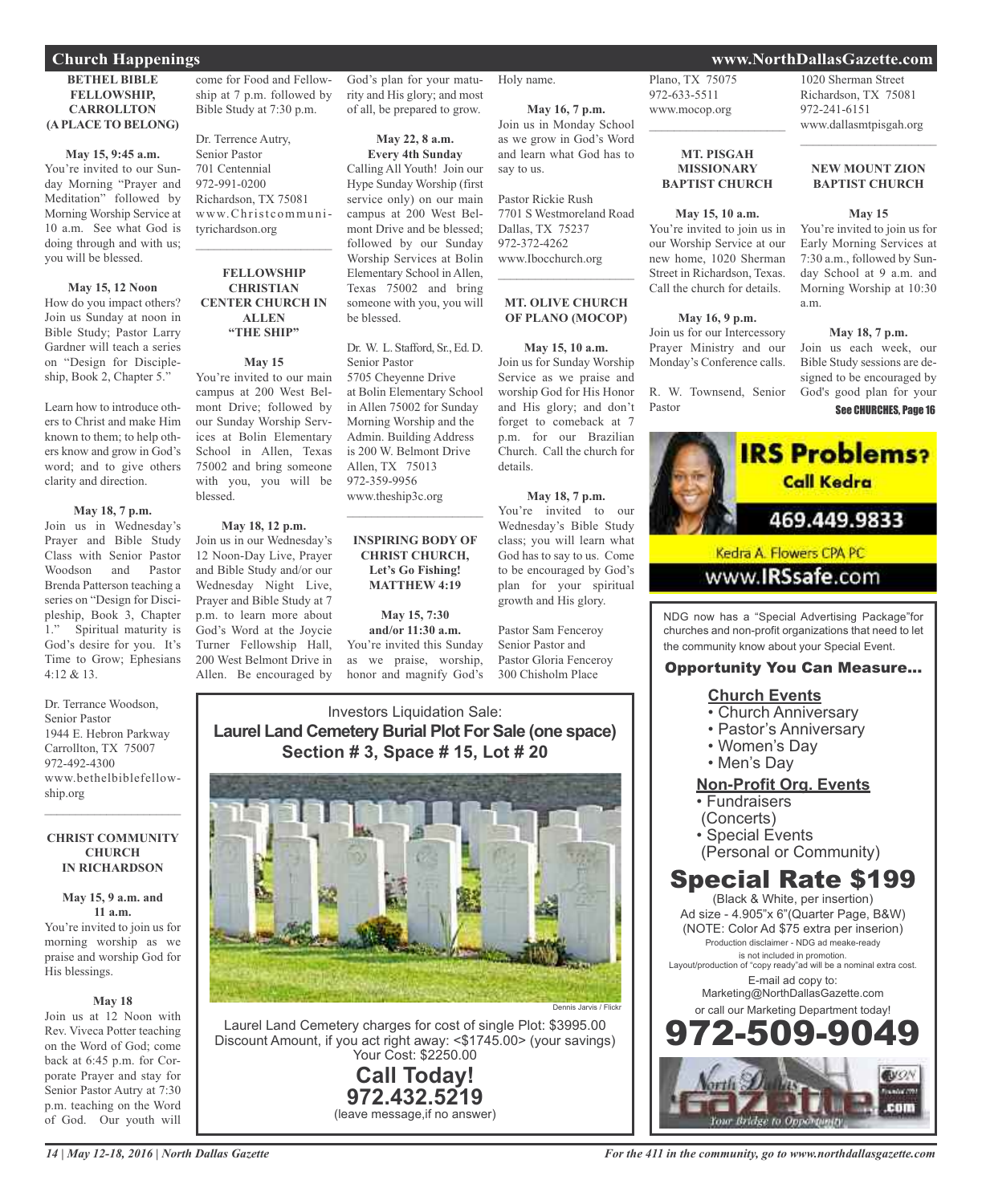### **BETHEL BIBLE FELLOWSHIP, CARROLLTON (A PLACE TO BELONG)**

### **May 15, 9:45 a.m.**

You're invited to our Sunday Morning "Prayer and Meditation" followed by Morning Worship Service at 10 a.m. See what God is doing through and with us; you will be blessed.

### **May 15, 12 Noon**

How do you impact others? Join us Sunday at noon in Bible Study; Pastor Larry Gardner will teach a series on "Design for Discipleship, Book 2, Chapter 5."

Learn how to introduce others to Christ and make Him known to them; to help others know and grow in God's word; and to give others clarity and direction.

### **May 18, 7 p.m.**

Join us in Wednesday's Prayer and Bible Study Class with Senior Pastor Woodson and Pastor Brenda Patterson teaching a series on "Design for Discipleship, Book 3, Chapter 1." Spiritual maturity is God's desire for you. It's Time to Grow; Ephesians 4:12 & 13.

Dr. Terrance Woodson, Senior Pastor 1944 E. Hebron Parkway Carrollton, TX 75007 972-492-4300 www.bethelbiblefellowship.org

#### **CHRIST COMMUNITY CHURCH IN RICHARDSON**

 $\frac{1}{2}$  ,  $\frac{1}{2}$  ,  $\frac{1}{2}$  ,  $\frac{1}{2}$  ,  $\frac{1}{2}$  ,  $\frac{1}{2}$  ,  $\frac{1}{2}$  ,  $\frac{1}{2}$  ,  $\frac{1}{2}$  ,  $\frac{1}{2}$ 

### **May 15, 9 a.m. and 11 a.m.**

You're invited to join us for morning worship as we praise and worship God for His blessings.

### **May 18**

Join us at 12 Noon with Rev. Viveca Potter teaching on the Word of God; come back at 6:45 p.m. for Corporate Prayer and stay for Senior Pastor Autry at 7:30 p.m. teaching on the Word of God. Our youth will

come for Food and Fellowship at 7 p.m. followed by Bible Study at 7:30 p.m.

Dr. Terrence Autry, Senior Pastor 701 Centennial 972-991-0200 Richardson, TX 75081 www.Christcommunityrichardson.org  $\mathcal{L}_\text{max}$  , which is a set of the set of the set of the set of the set of the set of the set of the set of the set of the set of the set of the set of the set of the set of the set of the set of the set of the set of

### **FELLOWSHIP CHRISTIAN CENTER CHURCH IN ALLEN "THE SHIP"**

### **May 15**

You're invited to our main campus at 200 West Belmont Drive; followed by our Sunday Worship Services at Bolin Elementary School in Allen, Texas 75002 and bring someone with you, you will be blessed.

**May 18, 12 p.m.** Join us in our Wednesday's 12 Noon-Day Live, Prayer and Bible Study and/or our Wednesday Night Live, Prayer and Bible Study at 7 p.m. to learn more about God's Word at the Joycie Turner Fellowship Hall, 200 West Belmont Drive in Allen. Be encouraged by

God's plan for your maturity and His glory; and most of all, be prepared to grow. Holy name.

**May 22, 8 a.m. Every 4th Sunday** Calling All Youth! Join our Hype Sunday Worship (first service only) on our main campus at 200 West Belmont Drive and be blessed; followed by our Sunday Worship Services at Bolin Elementary School in Allen,

## be blessed.

Texas 75002 and bring someone with you, you will

Dr. W. L. Stafford, Sr., Ed. D. Senior Pastor 5705 Cheyenne Drive at Bolin Elementary School in Allen 75002 for Sunday Morning Worship and the Admin. Building Address is 200 W. Belmont Drive Allen, TX 75013 972-359-9956 www.theship3c.org

### **INSPIRING BODY OF CHRIST CHURCH, Let's Go Fishing! MATTHEW 4:19**

 $\overline{\phantom{a}}$  , and the set of the set of the set of the set of the set of the set of the set of the set of the set of the set of the set of the set of the set of the set of the set of the set of the set of the set of the s

**May 15, 7:30 and/or 11:30 a.m.** You're invited this Sunday as we praise, worship, honor and magnify God's

**May 16, 7 p.m.** Join us in Monday School as we grow in God's Word and learn what God has to say to us.

Pastor Rickie Rush 7701 S Westmoreland Road Dallas, TX 75237 972-372-4262 www.Ibocchurch.org  $\mathcal{L}$  , and the set of the set of the set of the set of the set of the set of the set of the set of the set of the set of the set of the set of the set of the set of the set of the set of the set of the set of the set

### **MT. OLIVE CHURCH OF PLANO (MOCOP)**

### **May 15, 10 a.m.**

Join us for Sunday Worship Service as we praise and worship God for His Honor and His glory; and don't forget to comeback at 7 p.m. for our Brazilian Church. Call the church for details.

### **May 18, 7 p.m.**

You're invited to our Wednesday's Bible Study class; you will learn what God has to say to us. Come to be encouraged by God's plan for your spiritual growth and His glory.

Pastor Sam Fenceroy Senior Pastor and Pastor Gloria Fenceroy 300 Chisholm Place

Investors Liquidation Sale: **Laurel Land Cemetery Burial Plot For Sale (one space) Section # 3, Space # 15, Lot # 20**



Laurel Land Cemetery charges for cost of single Plot: \$3995.00 Discount Amount, if you act right away: <\$1745.00> (your savings) Your Cost: \$2250.00

> **Call Today! 972.432.5219** (leave message,if no answer)

### Plano, TX 75075 972-633-5511 www.mocop.org

### **MT. PISGAH MISSIONARY BAPTIST CHURCH**

 $\mathcal{L}_\text{max}$  , which is a set of the set of the set of the set of the set of the set of the set of the set of the set of the set of the set of the set of the set of the set of the set of the set of the set of the set of

#### **May 15, 10 a.m.** You're invited to join us in our Worship Service at our new home, 1020 Sherman Street in Richardson, Texas. Call the church for details.

### **May 16, 9 p.m.**

Join us for our Intercessory Prayer Ministry and our Monday's Conference calls.

R. W. Townsend, Senior Pastor



### **NEW MOUNT ZION BAPTIST CHURCH**

 $\overline{\phantom{a}}$  , and the set of the set of the set of the set of the set of the set of the set of the set of the set of the set of the set of the set of the set of the set of the set of the set of the set of the set of the s

### **May 15**

You're invited to join us for Early Morning Services at 7:30 a.m., followed by Sunday School at 9 a.m. and Morning Worship at 10:30 a.m.

### **May 18, 7 p.m.**

Join us each week, our Bible Study sessions are designed to be encouraged by God's good plan for your See CHURCHES, Page 16



www.**IRSsafe**.com

NDG now has a "Special Advertising Package"for churches and non-profit organizations that need to let the community know about your Special Event.

### Opportunity You Can Measure...

### **Church Events**

- Church Anniversary
- Pastor's Anniversary
- Women's Day
- Men's Day

### **Non-Profit Org. Events**

- Fundraisers
- (Concerts)
- Special Events
- (Personal or Community)

## Special Rate \$199

(Black & White, per insertion) Ad size - 4.905"x 6"(Quarter Page, B&W) (NOTE: Color Ad \$75 extra per inserion) Production disclaimer - NDG ad meake-ready is not included in promotion. Layout/production of "copy ready"ad will be a nominal extra cost. E-mail ad copy to: Marketing@NorthDallasGazette.com or call our Marketing Department today! 972-509-9049



**Church Happenings www.NorthDallasGazette.com**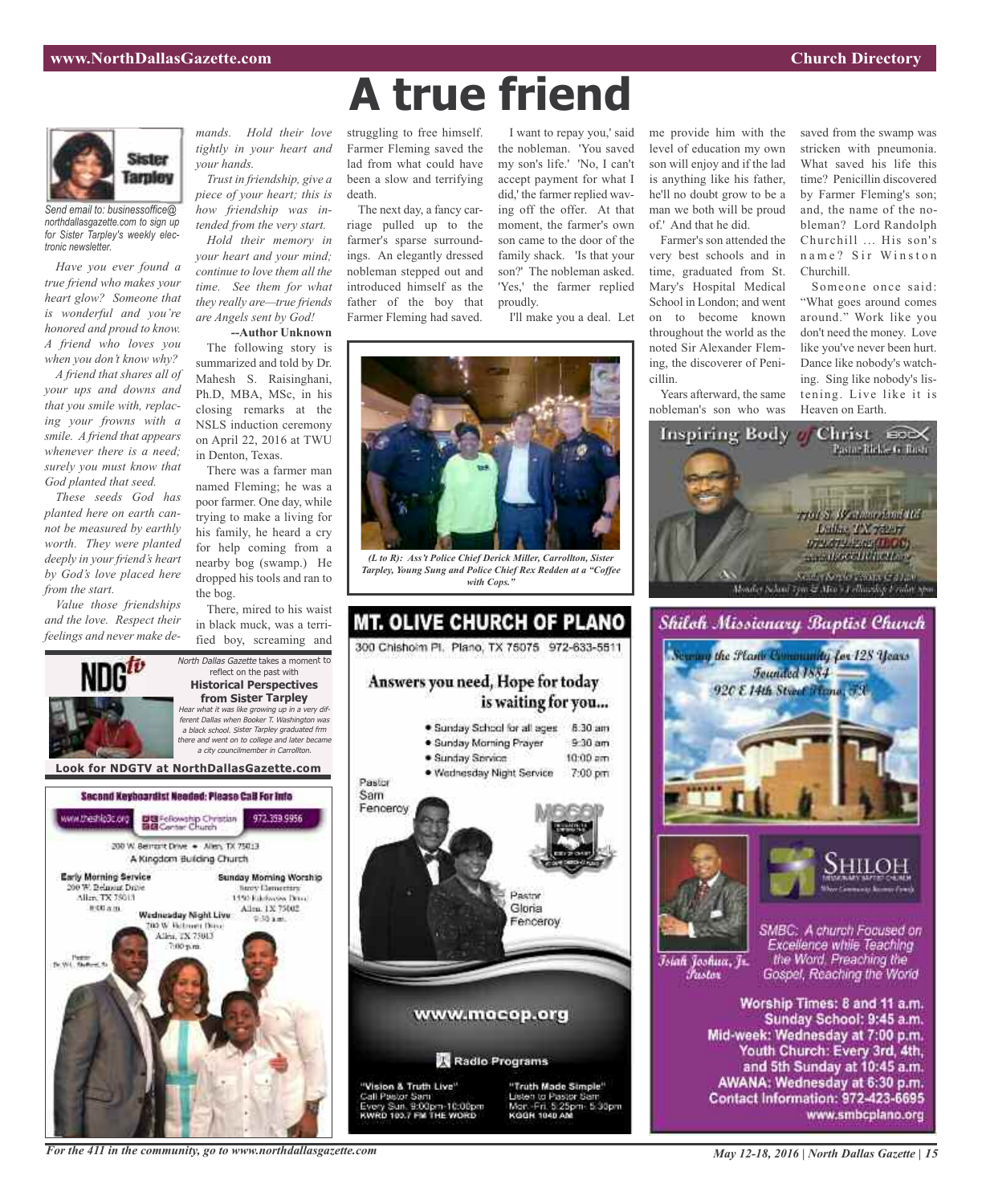

*Send email to: businessoffice@ northdallasgazette.com to sign up for Sister Tarpley's weekly electronic newsletter.*

*Have you ever found a true friend who makes your heart glow? Someone that is wonderful and you're honored and proud to know. A friend who loves you when you don't know why?*

*A friend that shares all of your ups and downs and that you smile with, replacing your frowns with a smile. A friend that appears whenever there is a need; surely you must know that God planted that seed.*

*These seeds God has planted here on earth cannot be measured by earthly worth. They were planted deeply in your friend's heart by God's love placed here from the start.*

*Value those friendships and the love. Respect their feelings and never make de-* *mands. Hold their love tightly in your heart and your hands.*

*Trust in friendship, give a piece of your heart; this is how friendship was intended from the very start.*

*Hold their memory in your heart and your mind; continue to love them all the time. See them for what they really are—true friends are Angels sent by God!*

**--Author Unknown** The following story is summarized and told by Dr. Mahesh S. Raisinghani, Ph.D, MBA, MSc, in his closing remarks at the NSLS induction ceremony on April 22, 2016 at TWU in Denton, Texas.

There was a farmer man named Fleming; he was a poor farmer. One day, while trying to make a living for his family, he heard a cry for help coming from a nearby bog (swamp.) He dropped his tools and ran to the bog.

There, mired to his waist in black muck, was a terrified boy, screaming and

North Dallas Gazette takes a moment to



**A true friend**

family shack. 'Is that your son?' The nobleman asked.

struggling to free himself. Farmer Fleming saved the lad from what could have been a slow and terrifying

The next day, a fancy carriage pulled up to the farmer's sparse surroundings. An elegantly dressed nobleman stepped out and

death.

*(L to R): Ass't Police Chief Derick Miller, Carrollton, Sister Tarpley, Young Sung and Police Chief Rex Redden at a "Coffee with Cops."*



I want to repay you,' said the nobleman. 'You saved my son's life.' 'No, I can't accept payment for what I did,' the farmer replied waving off the offer. At that moment, the farmer's own son came to the door of the me provide him with the level of education my own son will enjoy and if the lad is anything like his father, he'll no doubt grow to be a man we both will be proud of.' And that he did. Farmer's son attended the

very best schools and in time, graduated from St. Mary's Hospital Medical School in London; and went on to become known throughout the world as the noted Sir Alexander Fleming, the discoverer of Penicillin.

Years afterward, the same nobleman's son who was

saved from the swamp was stricken with pneumonia. What saved his life this time? Penicillin discovered by Farmer Fleming's son; and, the name of the nobleman? Lord Randolph Churchill ... His son's name? Sir Winston Churchill.

Someone once said: "What goes around comes around." Work like you don't need the money. Love like you've never been hurt. Dance like nobody's watching. Sing like nobody's listening. Live like it is Heaven on Earth.









Islah Joshua, Jr. Fustor

SMBC: A church Focused on Excellence while Teaching the Word. Preaching the Gospel, Reaching the World

Worship Times: 8 and 11 a.m. Sunday School: 9:45 a.m. Mid-week: Wednesday at 7:00 p.m. Youth Church: Every 3rd, 4th, and 5th Sunday at 10:45 a.m. AWANA: Wednesday at 6:30 p.m. Contact Information: 972-423-6695 www.smbcplano.org



*For the 411 in the community, go to www.northdallasgazette.com*